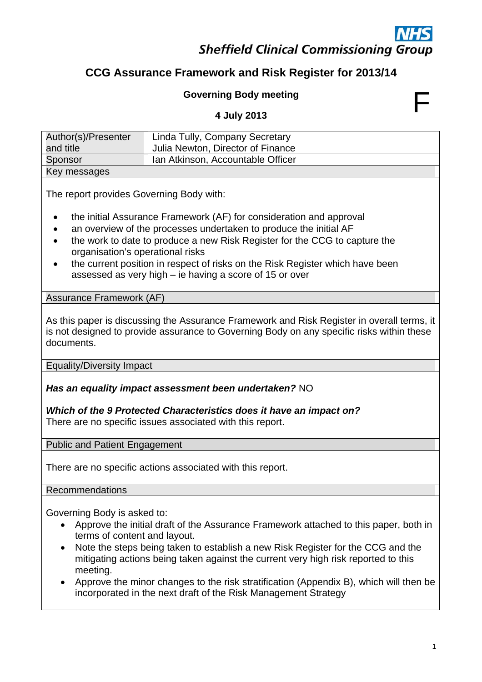## **Sheffield Clinical Commissioning Group**

### **CCG Assurance Framework and Risk Register for 2013/14**

# Governing Body meeting<br>
4 July 2013

| Author(s)/Presenter | Linda Tully, Company Secretary    |
|---------------------|-----------------------------------|
| and title           | Julia Newton, Director of Finance |
| Sponsor             | Ian Atkinson, Accountable Officer |
| Key messages        |                                   |

The report provides Governing Body with:

- the initial Assurance Framework (AF) for consideration and approval
- an overview of the processes undertaken to produce the initial AF
- the work to date to produce a new Risk Register for the CCG to capture the organisation's operational risks
- the current position in respect of risks on the Risk Register which have been assessed as very high – ie having a score of 15 or over

Assurance Framework (AF)

As this paper is discussing the Assurance Framework and Risk Register in overall terms, it is not designed to provide assurance to Governing Body on any specific risks within these documents.

Equality/Diversity Impact

*Has an equality impact assessment been undertaken?* NO

*Which of the 9 Protected Characteristics does it have an impact on?*  There are no specific issues associated with this report.

Public and Patient Engagement

There are no specific actions associated with this report.

Recommendations

Governing Body is asked to:

- Approve the initial draft of the Assurance Framework attached to this paper, both in terms of content and layout.
- Note the steps being taken to establish a new Risk Register for the CCG and the mitigating actions being taken against the current very high risk reported to this meeting.
- Approve the minor changes to the risk stratification (Appendix B), which will then be incorporated in the next draft of the Risk Management Strategy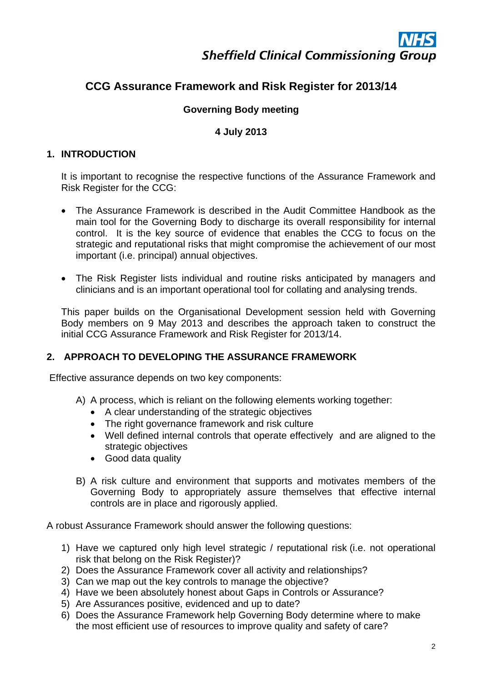#### **CCG Assurance Framework and Risk Register for 2013/14**

#### **Governing Body meeting**

#### **4 July 2013**

#### **1. INTRODUCTION**

It is important to recognise the respective functions of the Assurance Framework and Risk Register for the CCG:

- The Assurance Framework is described in the Audit Committee Handbook as the main tool for the Governing Body to discharge its overall responsibility for internal control. It is the key source of evidence that enables the CCG to focus on the strategic and reputational risks that might compromise the achievement of our most important (i.e. principal) annual objectives.
- The Risk Register lists individual and routine risks anticipated by managers and clinicians and is an important operational tool for collating and analysing trends.

This paper builds on the Organisational Development session held with Governing Body members on 9 May 2013 and describes the approach taken to construct the initial CCG Assurance Framework and Risk Register for 2013/14.

#### **2. APPROACH TO DEVELOPING THE ASSURANCE FRAMEWORK**

Effective assurance depends on two key components:

- A) A process, which is reliant on the following elements working together:
	- A clear understanding of the strategic objectives
	- The right governance framework and risk culture
	- Well defined internal controls that operate effectively and are aligned to the strategic objectives
	- Good data quality
- B) A risk culture and environment that supports and motivates members of the Governing Body to appropriately assure themselves that effective internal controls are in place and rigorously applied.

A robust Assurance Framework should answer the following questions:

- 1) Have we captured only high level strategic / reputational risk (i.e. not operational risk that belong on the Risk Register)?
- 2) Does the Assurance Framework cover all activity and relationships?
- 3) Can we map out the key controls to manage the objective?
- 4) Have we been absolutely honest about Gaps in Controls or Assurance?
- 5) Are Assurances positive, evidenced and up to date?
- 6) Does the Assurance Framework help Governing Body determine where to make the most efficient use of resources to improve quality and safety of care?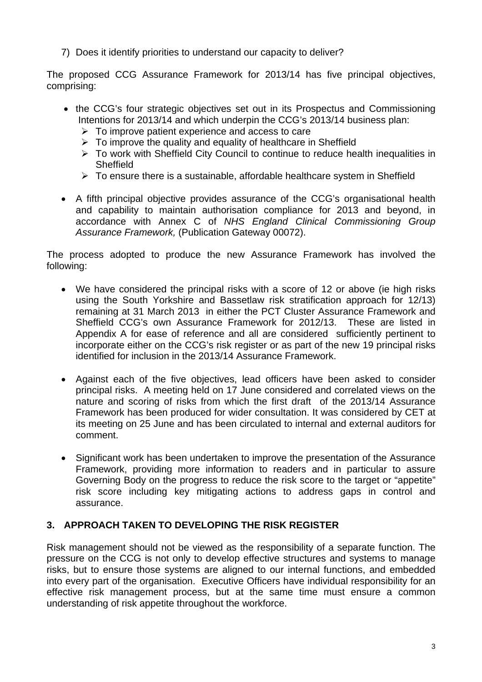7) Does it identify priorities to understand our capacity to deliver?

The proposed CCG Assurance Framework for 2013/14 has five principal objectives, comprising:

- the CCG's four strategic objectives set out in its Prospectus and Commissioning Intentions for 2013/14 and which underpin the CCG's 2013/14 business plan:
	- $\triangleright$  To improve patient experience and access to care
	- $\triangleright$  To improve the quality and equality of healthcare in Sheffield
	- To work with Sheffield City Council to continue to reduce health inequalities in **Sheffield**
	- $\triangleright$  To ensure there is a sustainable, affordable healthcare system in Sheffield
- A fifth principal objective provides assurance of the CCG's organisational health and capability to maintain authorisation compliance for 2013 and beyond, in accordance with Annex C of *NHS England Clinical Commissioning Group Assurance Framework,* (Publication Gateway 00072).

The process adopted to produce the new Assurance Framework has involved the following:

- We have considered the principal risks with a score of 12 or above (ie high risks using the South Yorkshire and Bassetlaw risk stratification approach for 12/13) remaining at 31 March 2013 in either the PCT Cluster Assurance Framework and Sheffield CCG's own Assurance Framework for 2012/13. These are listed in Appendix A for ease of reference and all are considered sufficiently pertinent to incorporate either on the CCG's risk register or as part of the new 19 principal risks identified for inclusion in the 2013/14 Assurance Framework.
- Against each of the five objectives, lead officers have been asked to consider principal risks. A meeting held on 17 June considered and correlated views on the nature and scoring of risks from which the first draft of the 2013/14 Assurance Framework has been produced for wider consultation. It was considered by CET at its meeting on 25 June and has been circulated to internal and external auditors for comment.
- Significant work has been undertaken to improve the presentation of the Assurance Framework, providing more information to readers and in particular to assure Governing Body on the progress to reduce the risk score to the target or "appetite" risk score including key mitigating actions to address gaps in control and assurance.

#### **3. APPROACH TAKEN TO DEVELOPING THE RISK REGISTER**

Risk management should not be viewed as the responsibility of a separate function. The pressure on the CCG is not only to develop effective structures and systems to manage risks, but to ensure those systems are aligned to our internal functions, and embedded into every part of the organisation. Executive Officers have individual responsibility for an effective risk management process, but at the same time must ensure a common understanding of risk appetite throughout the workforce.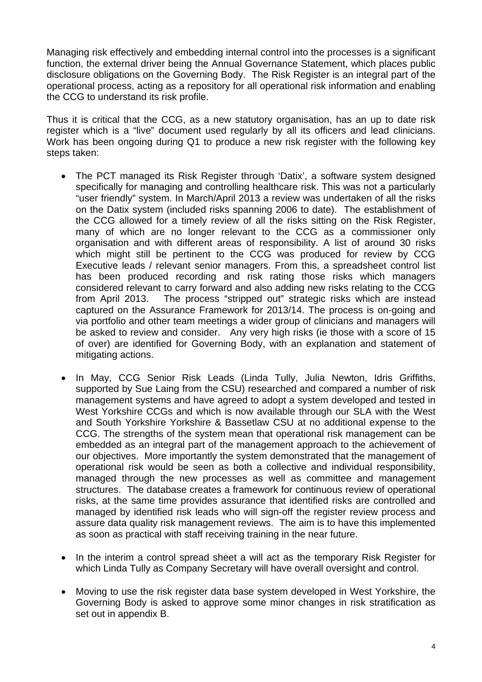Managing risk effectively and embedding internal control into the processes is a significant function, the external driver being the Annual Governance Statement, which places public disclosure obligations on the Governing Body. The Risk Register is an integral part of the operational process, acting as a repository for all operational risk information and enabling the CCG to understand its risk profile.

Thus it is critical that the CCG, as a new statutory organisation, has an up to date risk register which is a "live" document used regularly by all its officers and lead clinicians. Work has been ongoing during Q1 to produce a new risk register with the following key steps taken:

- The PCT managed its Risk Register through 'Datix', a software system designed specifically for managing and controlling healthcare risk. This was not a particularly "user friendly" system. In March/April 2013 a review was undertaken of all the risks on the Datix system (included risks spanning 2006 to date). The establishment of the CCG allowed for a timely review of all the risks sitting on the Risk Register, many of which are no longer relevant to the CCG as a commissioner only organisation and with different areas of responsibility. A list of around 30 risks which might still be pertinent to the CCG was produced for review by CCG Executive leads / relevant senior managers. From this, a spreadsheet control list has been produced recording and risk rating those risks which managers considered relevant to carry forward and also adding new risks relating to the CCG from April 2013. The process "stripped out" strategic risks which are instead captured on the Assurance Framework for 2013/14. The process is on-going and via portfolio and other team meetings a wider group of clinicians and managers will be asked to review and consider. Any very high risks (ie those with a score of 15 of over) are identified for Governing Body, with an explanation and statement of mitigating actions.
- In May, CCG Senior Risk Leads (Linda Tully, Julia Newton, Idris Griffiths, supported by Sue Laing from the CSU) researched and compared a number of risk management systems and have agreed to adopt a system developed and tested in West Yorkshire CCGs and which is now available through our SLA with the West and South Yorkshire Yorkshire & Bassetlaw CSU at no additional expense to the CCG. The strengths of the system mean that operational risk management can be embedded as an integral part of the management approach to the achievement of our objectives. More importantly the system demonstrated that the management of operational risk would be seen as both a collective and individual responsibility, managed through the new processes as well as committee and management structures. The database creates a framework for continuous review of operational risks, at the same time provides assurance that identified risks are controlled and managed by identified risk leads who will sign-off the register review process and assure data quality risk management reviews. The aim is to have this implemented as soon as practical with staff receiving training in the near future.
- In the interim a control spread sheet a will act as the temporary Risk Register for which Linda Tully as Company Secretary will have overall oversight and control.
- Moving to use the risk register data base system developed in West Yorkshire, the Governing Body is asked to approve some minor changes in risk stratification as set out in appendix B.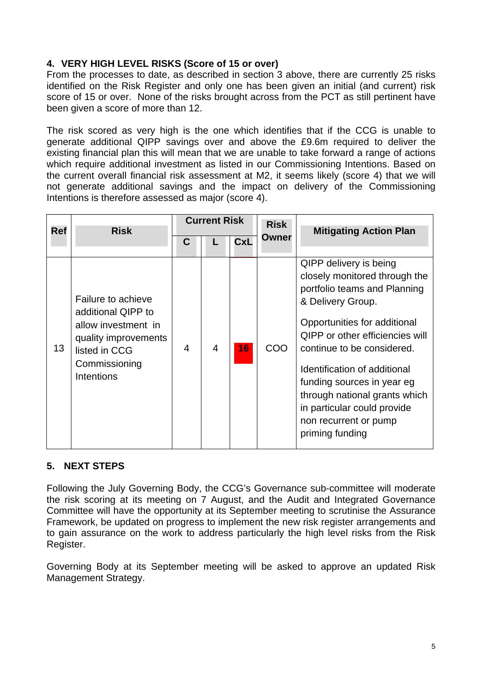#### **4. VERY HIGH LEVEL RISKS (Score of 15 or over)**

From the processes to date, as described in section 3 above, there are currently 25 risks identified on the Risk Register and only one has been given an initial (and current) risk score of 15 or over. None of the risks brought across from the PCT as still pertinent have been given a score of more than 12.

The risk scored as very high is the one which identifies that if the CCG is unable to generate additional QIPP savings over and above the £9.6m required to deliver the existing financial plan this will mean that we are unable to take forward a range of actions which require additional investment as listed in our Commissioning Intentions. Based on the current overall financial risk assessment at M2, it seems likely (score 4) that we will not generate additional savings and the impact on delivery of the Commissioning Intentions is therefore assessed as major (score 4).

| <b>Ref</b> | <b>Risk</b>                                                                                                                             |   | <b>Current Risk</b> |            | <b>Risk</b> | <b>Mitigating Action Plan</b>                                                                                                                                                                                                                                                                                                                                                                  |
|------------|-----------------------------------------------------------------------------------------------------------------------------------------|---|---------------------|------------|-------------|------------------------------------------------------------------------------------------------------------------------------------------------------------------------------------------------------------------------------------------------------------------------------------------------------------------------------------------------------------------------------------------------|
|            |                                                                                                                                         | C |                     | <b>CxL</b> | Owner       |                                                                                                                                                                                                                                                                                                                                                                                                |
| 13         | Failure to achieve<br>additional QIPP to<br>allow investment in<br>quality improvements<br>listed in CCG<br>Commissioning<br>Intentions | 4 | $\overline{4}$      | 16         | COO         | QIPP delivery is being<br>closely monitored through the<br>portfolio teams and Planning<br>& Delivery Group.<br>Opportunities for additional<br><b>QIPP</b> or other efficiencies will<br>continue to be considered.<br>Identification of additional<br>funding sources in year eg<br>through national grants which<br>in particular could provide<br>non recurrent or pump<br>priming funding |

#### **5. NEXT STEPS**

Following the July Governing Body, the CCG's Governance sub-committee will moderate the risk scoring at its meeting on 7 August, and the Audit and Integrated Governance Committee will have the opportunity at its September meeting to scrutinise the Assurance Framework, be updated on progress to implement the new risk register arrangements and to gain assurance on the work to address particularly the high level risks from the Risk Register.

Governing Body at its September meeting will be asked to approve an updated Risk Management Strategy.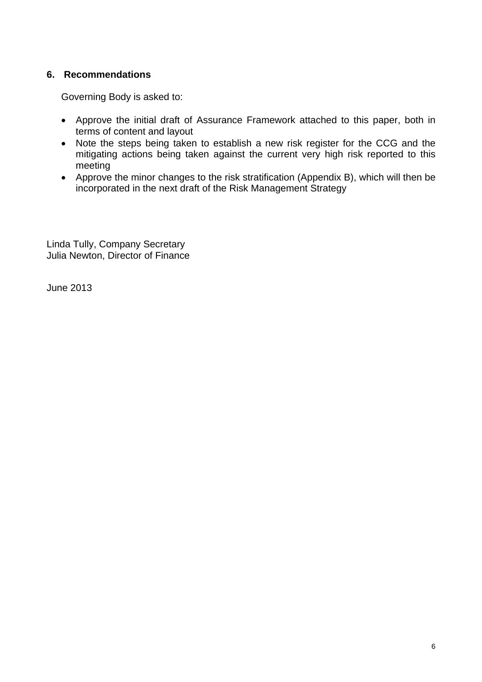#### **6. Recommendations**

Governing Body is asked to:

- Approve the initial draft of Assurance Framework attached to this paper, both in terms of content and layout
- Note the steps being taken to establish a new risk register for the CCG and the mitigating actions being taken against the current very high risk reported to this meeting
- Approve the minor changes to the risk stratification (Appendix B), which will then be incorporated in the next draft of the Risk Management Strategy

Linda Tully, Company Secretary Julia Newton, Director of Finance

June 2013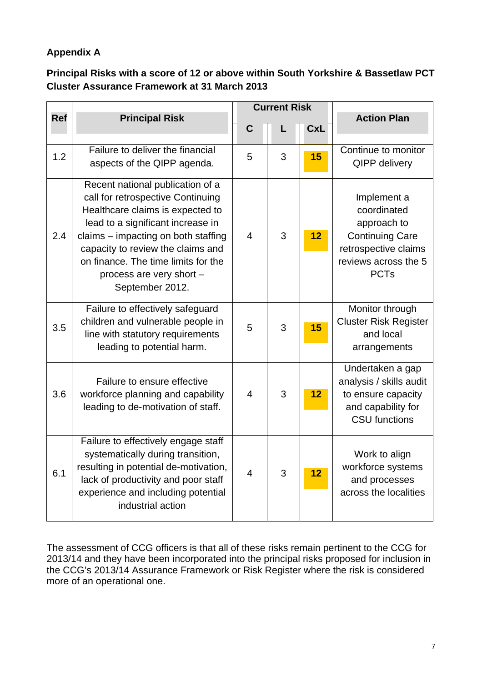#### **Appendix A**

#### **Principal Risks with a score of 12 or above within South Yorkshire & Bassetlaw PCT Cluster Assurance Framework at 31 March 2013**

|            |                                                                                                                                                                                                                                                                                                                  |                | <b>Current Risk</b> |    |                                                                                                                                    |
|------------|------------------------------------------------------------------------------------------------------------------------------------------------------------------------------------------------------------------------------------------------------------------------------------------------------------------|----------------|---------------------|----|------------------------------------------------------------------------------------------------------------------------------------|
| <b>Ref</b> | <b>Principal Risk</b>                                                                                                                                                                                                                                                                                            | $\mathbf C$    | <b>CxL</b><br>L     |    | <b>Action Plan</b>                                                                                                                 |
| 1.2        | Failure to deliver the financial<br>aspects of the QIPP agenda.                                                                                                                                                                                                                                                  | 5              | 3                   | 15 | Continue to monitor<br><b>QIPP delivery</b>                                                                                        |
| 2.4        | Recent national publication of a<br>call for retrospective Continuing<br>Healthcare claims is expected to<br>lead to a significant increase in<br>claims - impacting on both staffing<br>capacity to review the claims and<br>on finance. The time limits for the<br>process are very short -<br>September 2012. | $\overline{4}$ | 3                   | 12 | Implement a<br>coordinated<br>approach to<br><b>Continuing Care</b><br>retrospective claims<br>reviews across the 5<br><b>PCTs</b> |
| 3.5        | Failure to effectively safeguard<br>children and vulnerable people in<br>line with statutory requirements<br>leading to potential harm.                                                                                                                                                                          | 5              | 3                   | 15 | Monitor through<br><b>Cluster Risk Register</b><br>and local<br>arrangements                                                       |
| 3.6        | Failure to ensure effective<br>workforce planning and capability<br>leading to de-motivation of staff.                                                                                                                                                                                                           | $\overline{4}$ | 3                   | 12 | Undertaken a gap<br>analysis / skills audit<br>to ensure capacity<br>and capability for<br><b>CSU</b> functions                    |
| 6.1        | Failure to effectively engage staff<br>systematically during transition,<br>resulting in potential de-motivation,<br>lack of productivity and poor staff<br>experience and including potential<br>industrial action                                                                                              | $\overline{4}$ | 3                   | 12 | Work to align<br>workforce systems<br>and processes<br>across the localities                                                       |

The assessment of CCG officers is that all of these risks remain pertinent to the CCG for 2013/14 and they have been incorporated into the principal risks proposed for inclusion in the CCG's 2013/14 Assurance Framework or Risk Register where the risk is considered more of an operational one.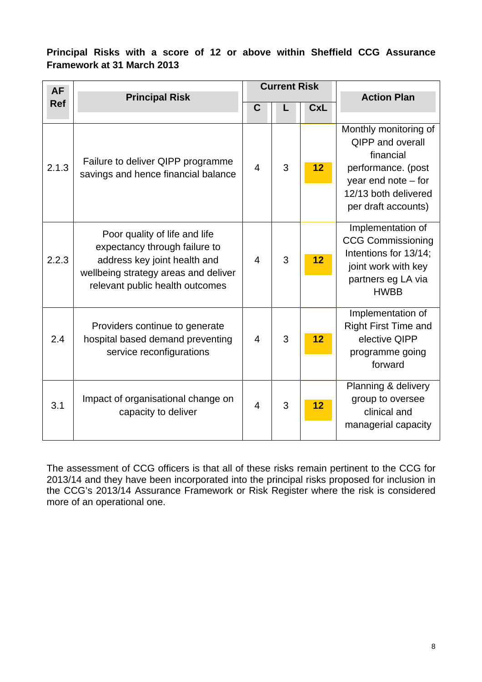#### **Principal Risks with a score of 12 or above within Sheffield CCG Assurance Framework at 31 March 2013**

| <b>AF</b>  |                                                                                                                                                                           |                | <b>Current Risk</b> |            |                                                                                                                                                             |
|------------|---------------------------------------------------------------------------------------------------------------------------------------------------------------------------|----------------|---------------------|------------|-------------------------------------------------------------------------------------------------------------------------------------------------------------|
| <b>Ref</b> | <b>Principal Risk</b>                                                                                                                                                     | C              |                     | <b>CxL</b> | <b>Action Plan</b>                                                                                                                                          |
|            |                                                                                                                                                                           |                |                     |            |                                                                                                                                                             |
| 2.1.3      | Failure to deliver QIPP programme<br>savings and hence financial balance                                                                                                  | $\overline{4}$ | 3                   | 12         | Monthly monitoring of<br><b>QIPP and overall</b><br>financial<br>performance. (post<br>year end note $-$ for<br>12/13 both delivered<br>per draft accounts) |
| 2.2.3      | Poor quality of life and life<br>expectancy through failure to<br>address key joint health and<br>wellbeing strategy areas and deliver<br>relevant public health outcomes | $\overline{4}$ | 3                   | 12         | Implementation of<br><b>CCG Commissioning</b><br>Intentions for 13/14;<br>joint work with key<br>partners eg LA via<br><b>HWBB</b>                          |
| 2.4        | Providers continue to generate<br>hospital based demand preventing<br>service reconfigurations                                                                            | $\overline{4}$ | 3                   | 12         | Implementation of<br><b>Right First Time and</b><br>elective QIPP<br>programme going<br>forward                                                             |
| 3.1        | Impact of organisational change on<br>capacity to deliver                                                                                                                 | $\overline{4}$ | 3                   | 12         | Planning & delivery<br>group to oversee<br>clinical and<br>managerial capacity                                                                              |

The assessment of CCG officers is that all of these risks remain pertinent to the CCG for 2013/14 and they have been incorporated into the principal risks proposed for inclusion in the CCG's 2013/14 Assurance Framework or Risk Register where the risk is considered more of an operational one.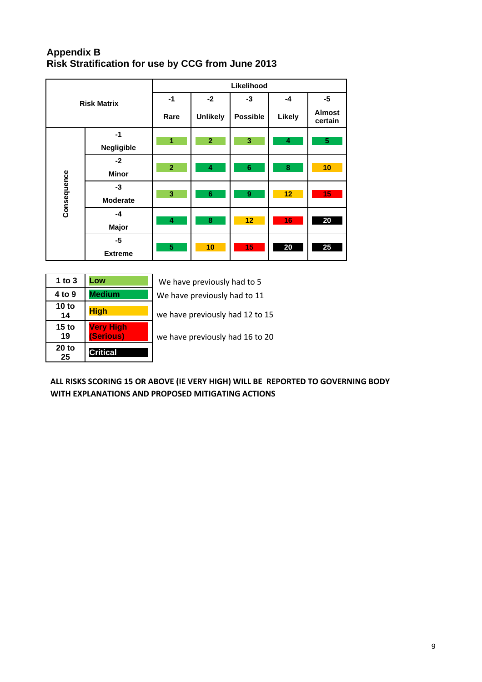#### **Appendix B Risk Stratification for use by CCG from June 2013**

|             |                    |                | Likelihood      |                  |        |                          |  |  |  |  |  |  |
|-------------|--------------------|----------------|-----------------|------------------|--------|--------------------------|--|--|--|--|--|--|
|             | <b>Risk Matrix</b> | $-1$           | $-2$            | $-3$             | -4     | $-5$                     |  |  |  |  |  |  |
|             |                    | Rare           | <b>Unlikely</b> | <b>Possible</b>  | Likely | <b>Almost</b><br>certain |  |  |  |  |  |  |
|             | $-1$               | 1              | $\overline{2}$  | 3                | 4      | $\overline{\mathbf{5}}$  |  |  |  |  |  |  |
|             | <b>Negligible</b>  |                |                 |                  |        |                          |  |  |  |  |  |  |
|             | $-2$               | $\overline{2}$ | 4               | $\bf 6$          | 8      | 10                       |  |  |  |  |  |  |
|             | <b>Minor</b>       |                |                 |                  |        |                          |  |  |  |  |  |  |
| Consequence | -3                 |                |                 |                  |        |                          |  |  |  |  |  |  |
|             | <b>Moderate</b>    | 3              | $6\phantom{1}$  | $\boldsymbol{9}$ | 12     | 15                       |  |  |  |  |  |  |
|             | $-4$               |                |                 |                  |        |                          |  |  |  |  |  |  |
|             | Major              | 4              | 8               | 12               | 16     | 20                       |  |  |  |  |  |  |
|             | -5                 |                |                 |                  |        |                          |  |  |  |  |  |  |
|             | <b>Extreme</b>     | 5              | 10              | 15               | 20     | 25                       |  |  |  |  |  |  |

| 1 to $3$               | Low                           | We have previously had to 5     |
|------------------------|-------------------------------|---------------------------------|
| 4 to 9                 | <b>Medium</b>                 | We have previously had to 11    |
| 10 to<br>14            | <b>High</b>                   | we have previously had 12 to 15 |
| 15 <sub>to</sub><br>19 | <b>Very High</b><br>(Serious) | we have previously had 16 to 20 |
| 20 to<br>25            | <b>Critical</b>               |                                 |

ALL RISKS SCORING 15 OR ABOVE (IE VERY HIGH) WILL BE REPORTED TO GOVERNING BODY  **WITH EXPLANATIONS AND PROPOSED MITIGATING ACTIONS**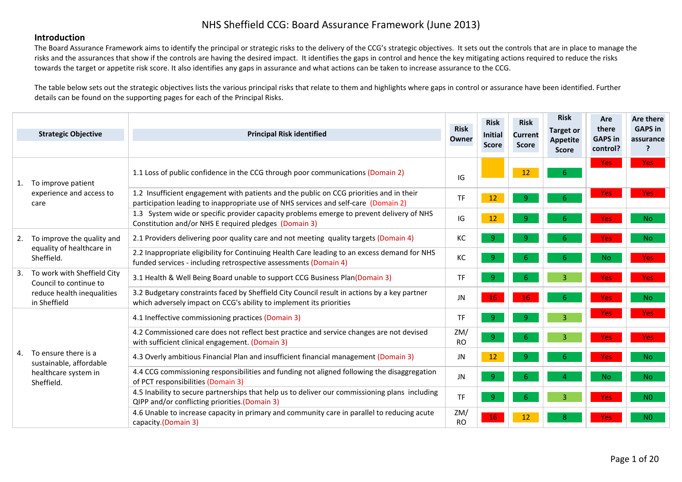#### **Introduction**

The Board Assurance Framework aims to identify the principal or strategic risks to the delivery of the CCG's strategic objectives. It sets out the controls that are in place to manage the risks and the assurances that show if the controls are having the desired impact. It identifies the gaps in control and hence the key mitigating actions required to reduce the risks towards the target or appetite risk score. It also identifies any gaps in assurance and what actions can be taken to increase assurance to the CCG.

The table below sets out the strategic objectives lists the various principal risks that relate to them and highlights where gaps in control or assurance have been identified. Further details can be found on the supporting pages for each of the Principal Risks.

|    | <b>Strategic Objective</b>                            | <b>Principal Risk identified</b>                                                                                                                                               | <b>Risk</b><br>Owner | <b>Risk</b><br><b>Initial</b><br><b>Score</b> | <b>Risk</b><br><b>Current</b><br><b>Score</b> | <b>Risk</b><br>Target or<br><b>Appetite</b> | Are<br>there<br><b>GAPS in</b> | Are there<br><b>GAPS in</b><br>assurance |
|----|-------------------------------------------------------|--------------------------------------------------------------------------------------------------------------------------------------------------------------------------------|----------------------|-----------------------------------------------|-----------------------------------------------|---------------------------------------------|--------------------------------|------------------------------------------|
|    |                                                       |                                                                                                                                                                                |                      |                                               |                                               | <b>Score</b>                                | control?                       | ?                                        |
| 1. | To improve patient                                    | 1.1 Loss of public confidence in the CCG through poor communications (Domain 2)                                                                                                | IG                   |                                               | 12                                            | 6.                                          | <b>Yes</b>                     | <b>Yes</b>                               |
|    | experience and access to<br>care                      | 1.2 Insufficient engagement with patients and the public on CCG priorities and in their<br>participation leading to inappropriate use of NHS services and self-care (Domain 2) | <b>TF</b>            | 12                                            | 9                                             |                                             | <b>Yes</b>                     | <b>Yes</b>                               |
|    |                                                       | 1.3 System wide or specific provider capacity problems emerge to prevent delivery of NHS<br>Constitution and/or NHS E required pledges (Domain 3)                              | $\overline{G}$       | 12                                            | $\overline{9}$                                | 6.                                          | <b>Yes</b>                     | <b>No</b>                                |
| 2. | To improve the quality and                            | 2.1 Providers delivering poor quality care and not meeting quality targets (Domain 4)                                                                                          | KC                   | $\overline{9}$                                | 9                                             |                                             | <b>Yes</b>                     | N <sub>o</sub>                           |
|    | equality of healthcare in<br>Sheffield.               | 2.2 Inappropriate eligibility for Continuing Health Care leading to an excess demand for NHS<br>funded services - including retrospective assessments (Domain 4)               | KC                   | -9                                            | 6                                             | 6.                                          | <b>No</b>                      | Yes:                                     |
|    | To work with Sheffield City<br>Council to continue to | 3.1 Health & Well Being Board unable to support CCG Business Plan(Domain 3)                                                                                                    | <b>TF</b>            | -9                                            | 6                                             | $\overline{3}$                              | <b>Yes</b>                     | Yes:                                     |
|    | reduce health inequalities<br>in Sheffield            | 3.2 Budgetary constraints faced by Sheffield City Council result in actions by a key partner<br>which adversely impact on CCG's ability to implement its priorities            | <b>JN</b>            | 16                                            | 16                                            | 6                                           | <b>Yes</b>                     | <b>No</b>                                |
|    |                                                       | 4.1 Ineffective commissioning practices (Domain 3)                                                                                                                             | <b>TF</b>            | $\overline{9}$                                | 9                                             | $\overline{3}$                              | <b>Yes</b>                     | <b>Yes</b>                               |
|    |                                                       | 4.2 Commissioned care does not reflect best practice and service changes are not devised<br>with sufficient clinical engagement. (Domain 3)                                    | ZM/<br><b>RO</b>     | 9 <sup>°</sup>                                | 6                                             | 3 <sup>1</sup>                              | <b>Yes</b>                     | Yes:                                     |
| 4. | To ensure there is a<br>sustainable, affordable       | 4.3 Overly ambitious Financial Plan and insufficient financial management (Domain 3)                                                                                           | JN                   | 12                                            | 9                                             | 6                                           | Yes:                           | N <sub>o</sub>                           |
|    | healthcare system in<br>Sheffield.                    | 4.4 CCG commissioning responsibilities and funding not aligned following the disaggregation<br>of PCT responsibilities (Domain 3)                                              | <b>JN</b>            | $\overline{9}$                                | 6                                             |                                             | N <sub>o</sub>                 | N <sub>o</sub>                           |
|    |                                                       | 4.5 Inability to secure partnerships that help us to deliver our commissioning plans including<br>QIPP and/or conflicting priorities.(Domain 3)                                | <b>TF</b>            | 9                                             | 6.                                            | $\overline{3}$                              | <b>Yes</b>                     | N <sub>0</sub>                           |
|    |                                                       | 4.6 Unable to increase capacity in primary and community care in parallel to reducing acute<br>capacity.(Domain 3)                                                             | ZM/<br><b>RO</b>     | 16                                            | 12                                            |                                             | <b>Yes</b>                     | N <sub>0</sub>                           |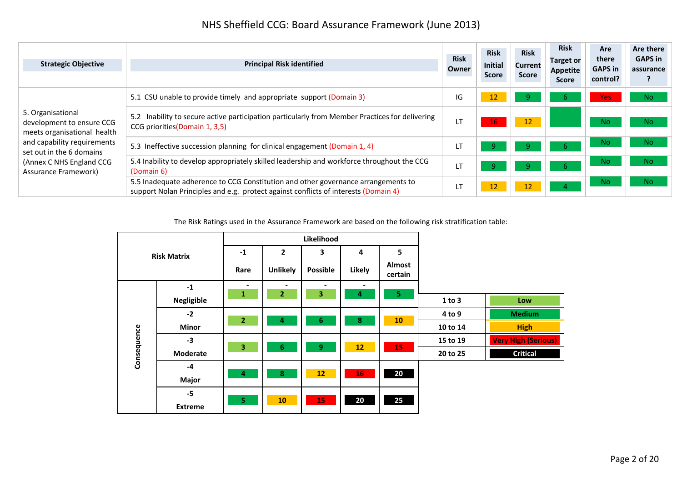| <b>Strategic Objective</b>                                                    | <b>Principal Risk identified</b>                                                                                                                                         | <b>Risk</b><br>Owner | <b>Risk</b><br>Initial<br><b>Score</b> | <b>Risk</b><br><b>Current</b><br><b>Score</b> | <b>Risk</b><br><b>Target or</b><br><b>Appetite</b><br><b>Score</b> | Are<br>there<br><b>GAPS in</b><br>control? | Are there<br><b>GAPS</b> in<br>assurance |
|-------------------------------------------------------------------------------|--------------------------------------------------------------------------------------------------------------------------------------------------------------------------|----------------------|----------------------------------------|-----------------------------------------------|--------------------------------------------------------------------|--------------------------------------------|------------------------------------------|
|                                                                               | 5.1 CSU unable to provide timely and appropriate support (Domain 3)                                                                                                      | IG                   | 12                                     | 9                                             | b.                                                                 | <b>Yes</b>                                 | N <sub>o</sub>                           |
| 5. Organisational<br>development to ensure CCG<br>meets organisational health | Inability to secure active participation particularly from Member Practices for delivering<br>CCG priorities (Domain 1, 3,5)                                             | LТ                   | 16                                     | 12                                            |                                                                    | No.                                        | No.                                      |
| and capability requirements<br>set out in the 6 domains                       | 5.3 Ineffective succession planning for clinical engagement (Domain 1, 4)                                                                                                | LT                   | 9                                      | 9                                             | -6                                                                 | No.                                        | No.                                      |
| (Annex C NHS England CCG<br>Assurance Framework)                              | 5.4 Inability to develop appropriately skilled leadership and workforce throughout the CCG<br>(Domain 6)                                                                 | LT                   | 9.                                     | 9.                                            |                                                                    | No.                                        | No.                                      |
|                                                                               | 5.5 Inadequate adherence to CCG Constitution and other governance arrangements to<br>support Nolan Principles and e.g. protect against conflicts of interests (Domain 4) | <b>LT</b>            | 12                                     | 12                                            |                                                                    | N <sub>o</sub>                             | No.                                      |

The Risk Ratings used in the Assurance Framework are based on the following risk stratification table:

|             |                    |                                          |                                  | Likelihood          |                     |                   |          |                            |
|-------------|--------------------|------------------------------------------|----------------------------------|---------------------|---------------------|-------------------|----------|----------------------------|
|             | <b>Risk Matrix</b> | $-1$                                     | $\overline{2}$                   | 3                   | 4                   | 5                 |          |                            |
|             |                    | Rare                                     | <b>Unlikely</b>                  | <b>Possible</b>     | Likely              | Almost<br>certain |          |                            |
| $-1$        |                    | $\overline{\phantom{0}}$<br>$\mathbf{1}$ | $\blacksquare$<br>$\overline{2}$ | $\blacksquare$<br>3 | $\blacksquare$<br>4 | 5 <sub>1</sub>    |          |                            |
|             | <b>Negligible</b>  |                                          |                                  |                     |                     |                   | 1 to 3   | Low                        |
|             | $-2$               | $\overline{2}$                           | 4                                | 6                   | 8                   | 10                | 4 to 9   | <b>Medium</b>              |
|             | <b>Minor</b>       |                                          |                                  |                     |                     |                   | 10 to 14 | <b>High</b>                |
|             | $-3$               | $\overline{\mathbf{3}}$                  | 6                                | 9 <sup>°</sup>      | 12                  |                   | 15 to 19 | <b>Very High (Serious)</b> |
| Consequence | Moderate           |                                          |                                  |                     |                     | 15                | 20 to 25 | <b>Critical</b>            |
|             | $-4$               | 4                                        | 8                                | 12                  | 16                  | 20                |          |                            |
|             | Major              |                                          |                                  |                     |                     |                   |          |                            |
|             | $-5$               | 5 <sub>1</sub>                           | 10                               |                     |                     |                   |          |                            |
|             | <b>Extreme</b>     |                                          |                                  | 15                  | 20                  | 25                |          |                            |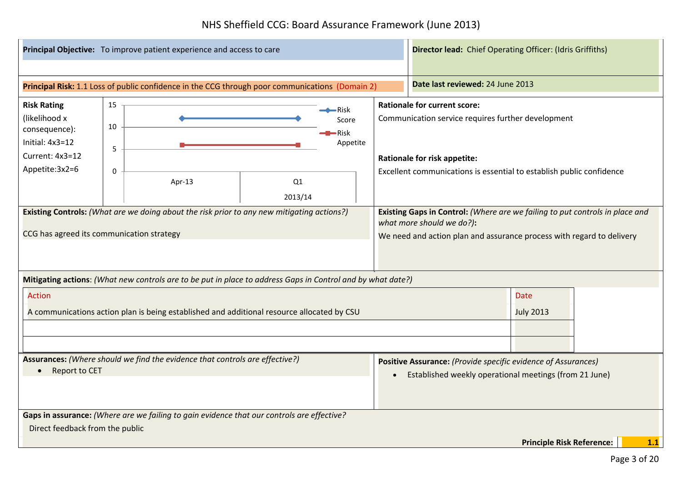|                                                                                                                 |                                                                                               | Principal Objective: To improve patient experience and access to care                                       |                                                                                                                                                                                                                                                                                            | <b>Director lead:</b> Chief Operating Officer: (Idris Griffiths)                                                                                                                   |  |                                                                                                                         |  |  |
|-----------------------------------------------------------------------------------------------------------------|-----------------------------------------------------------------------------------------------|-------------------------------------------------------------------------------------------------------------|--------------------------------------------------------------------------------------------------------------------------------------------------------------------------------------------------------------------------------------------------------------------------------------------|------------------------------------------------------------------------------------------------------------------------------------------------------------------------------------|--|-------------------------------------------------------------------------------------------------------------------------|--|--|
|                                                                                                                 |                                                                                               |                                                                                                             |                                                                                                                                                                                                                                                                                            |                                                                                                                                                                                    |  |                                                                                                                         |  |  |
|                                                                                                                 |                                                                                               | Principal Risk: 1.1 Loss of public confidence in the CCG through poor communications (Domain 2)             |                                                                                                                                                                                                                                                                                            |                                                                                                                                                                                    |  | Date last reviewed: 24 June 2013                                                                                        |  |  |
| <b>Risk Rating</b><br>(likelihood x<br>consequence):<br>Initial: $4x3=12$<br>Current: 4x3=12<br>Appetite: 3x2=6 | 15<br>10<br>5<br>0                                                                            | Apr-13                                                                                                      | <b>Rationale for current score:</b><br>$\leftarrow$ Risk<br>Communication service requires further development<br>Score<br>$\blacktriangleright$ Risk<br>Appetite<br>Rationale for risk appetite:<br>Excellent communications is essential to establish public confidence<br>Q1<br>2013/14 |                                                                                                                                                                                    |  |                                                                                                                         |  |  |
| CCG has agreed its communication strategy                                                                       |                                                                                               | Existing Controls: (What are we doing about the risk prior to any new mitigating actions?)                  |                                                                                                                                                                                                                                                                                            | Existing Gaps in Control: (Where are we failing to put controls in place and<br>what more should we do?):<br>We need and action plan and assurance process with regard to delivery |  |                                                                                                                         |  |  |
|                                                                                                                 |                                                                                               | Mitigating actions: (What new controls are to be put in place to address Gaps in Control and by what date?) |                                                                                                                                                                                                                                                                                            |                                                                                                                                                                                    |  |                                                                                                                         |  |  |
| <b>Action</b>                                                                                                   |                                                                                               | A communications action plan is being established and additional resource allocated by CSU                  |                                                                                                                                                                                                                                                                                            |                                                                                                                                                                                    |  | <b>Date</b><br><b>July 2013</b>                                                                                         |  |  |
|                                                                                                                 | Assurances: (Where should we find the evidence that controls are effective?)<br>Report to CET |                                                                                                             |                                                                                                                                                                                                                                                                                            |                                                                                                                                                                                    |  | Positive Assurance: (Provide specific evidence of Assurances)<br>Established weekly operational meetings (from 21 June) |  |  |
|                                                                                                                 |                                                                                               | Gaps in assurance: (Where are we failing to gain evidence that our controls are effective?                  |                                                                                                                                                                                                                                                                                            |                                                                                                                                                                                    |  |                                                                                                                         |  |  |
| Direct feedback from the public                                                                                 |                                                                                               |                                                                                                             |                                                                                                                                                                                                                                                                                            |                                                                                                                                                                                    |  |                                                                                                                         |  |  |
|                                                                                                                 |                                                                                               |                                                                                                             |                                                                                                                                                                                                                                                                                            |                                                                                                                                                                                    |  | <b>Principle Risk Reference:</b><br>1.1                                                                                 |  |  |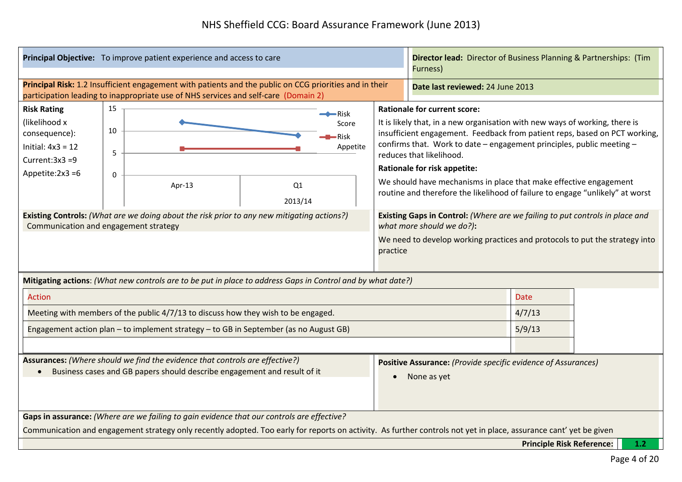|                                                                                                                                                                   |                              | Principal Objective: To improve patient experience and access to care                                                                                                                                                                                                                                                                                                                                                                                                                                                                                                                                                                                                                                                                                                                               | <b>Director lead:</b> Director of Business Planning & Partnerships: (Tim<br>Furness) |  |                                                                                           |                                  |                                  |       |
|-------------------------------------------------------------------------------------------------------------------------------------------------------------------|------------------------------|-----------------------------------------------------------------------------------------------------------------------------------------------------------------------------------------------------------------------------------------------------------------------------------------------------------------------------------------------------------------------------------------------------------------------------------------------------------------------------------------------------------------------------------------------------------------------------------------------------------------------------------------------------------------------------------------------------------------------------------------------------------------------------------------------------|--------------------------------------------------------------------------------------|--|-------------------------------------------------------------------------------------------|----------------------------------|----------------------------------|-------|
|                                                                                                                                                                   |                              | Principal Risk: 1.2 Insufficient engagement with patients and the public on CCG priorities and in their<br>participation leading to inappropriate use of NHS services and self-care (Domain 2)                                                                                                                                                                                                                                                                                                                                                                                                                                                                                                                                                                                                      |                                                                                      |  |                                                                                           | Date last reviewed: 24 June 2013 |                                  |       |
| <b>Risk Rating</b><br>(likelihood x<br>consequence):<br>Initial: $4x3 = 12$<br>Current: $3x3 = 9$<br>Appetite: $2x3 = 6$<br>Communication and engagement strategy | 15<br>10<br>5<br>$\mathbf 0$ | <b>Rationale for current score:</b><br>$\rightarrow$ Risk<br>It is likely that, in a new organisation with new ways of working, there is<br>Score<br>insufficient engagement. Feedback from patient reps, based on PCT working,<br>-Risk<br>confirms that. Work to date - engagement principles, public meeting -<br>Appetite<br>reduces that likelihood.<br><b>Rationale for risk appetite:</b><br>We should have mechanisms in place that make effective engagement<br>Q1<br>Apr-13<br>routine and therefore the likelihood of failure to engage "unlikely" at worst<br>2013/14<br><b>Existing Controls:</b> (What are we doing about the risk prior to any new mitigating actions?)<br>Existing Gaps in Control: (Where are we failing to put controls in place and<br>what more should we do?): |                                                                                      |  |                                                                                           |                                  |                                  |       |
| We need to develop working practices and protocols to put the strategy into<br>practice                                                                           |                              |                                                                                                                                                                                                                                                                                                                                                                                                                                                                                                                                                                                                                                                                                                                                                                                                     |                                                                                      |  |                                                                                           |                                  |                                  |       |
|                                                                                                                                                                   |                              | Mitigating actions: (What new controls are to be put in place to address Gaps in Control and by what date?)                                                                                                                                                                                                                                                                                                                                                                                                                                                                                                                                                                                                                                                                                         |                                                                                      |  |                                                                                           |                                  |                                  |       |
| <b>Action</b>                                                                                                                                                     |                              |                                                                                                                                                                                                                                                                                                                                                                                                                                                                                                                                                                                                                                                                                                                                                                                                     |                                                                                      |  |                                                                                           |                                  | <b>Date</b>                      |       |
|                                                                                                                                                                   |                              | Meeting with members of the public 4/7/13 to discuss how they wish to be engaged.                                                                                                                                                                                                                                                                                                                                                                                                                                                                                                                                                                                                                                                                                                                   |                                                                                      |  |                                                                                           |                                  | 4/7/13                           |       |
|                                                                                                                                                                   |                              | Engagement action plan - to implement strategy - to GB in September (as no August GB)                                                                                                                                                                                                                                                                                                                                                                                                                                                                                                                                                                                                                                                                                                               |                                                                                      |  |                                                                                           |                                  | 5/9/13                           |       |
|                                                                                                                                                                   |                              |                                                                                                                                                                                                                                                                                                                                                                                                                                                                                                                                                                                                                                                                                                                                                                                                     |                                                                                      |  |                                                                                           |                                  |                                  |       |
| Assurances: (Where should we find the evidence that controls are effective?)<br>Business cases and GB papers should describe engagement and result of it          |                              |                                                                                                                                                                                                                                                                                                                                                                                                                                                                                                                                                                                                                                                                                                                                                                                                     |                                                                                      |  | Positive Assurance: (Provide specific evidence of Assurances)<br>None as yet<br>$\bullet$ |                                  |                                  |       |
|                                                                                                                                                                   |                              | Gaps in assurance: (Where are we failing to gain evidence that our controls are effective?                                                                                                                                                                                                                                                                                                                                                                                                                                                                                                                                                                                                                                                                                                          |                                                                                      |  |                                                                                           |                                  |                                  |       |
|                                                                                                                                                                   |                              | Communication and engagement strategy only recently adopted. Too early for reports on activity. As further controls not yet in place, assurance cant' yet be given                                                                                                                                                                                                                                                                                                                                                                                                                                                                                                                                                                                                                                  |                                                                                      |  |                                                                                           |                                  |                                  |       |
|                                                                                                                                                                   |                              |                                                                                                                                                                                                                                                                                                                                                                                                                                                                                                                                                                                                                                                                                                                                                                                                     |                                                                                      |  |                                                                                           |                                  | <b>Principle Risk Reference:</b> | $1.2$ |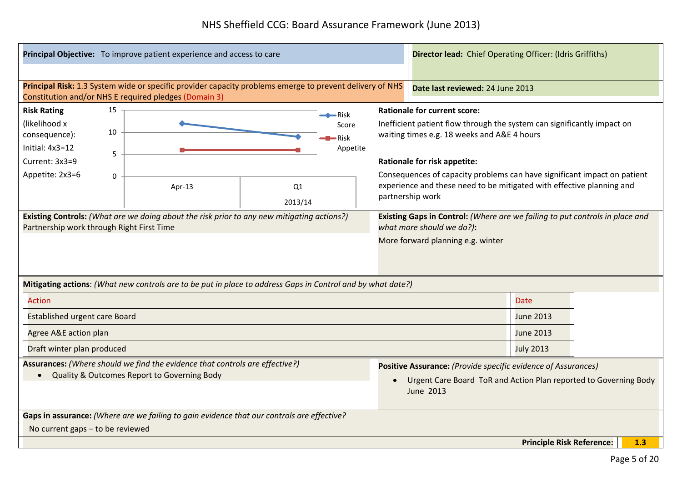| Principal Objective: To improve patient experience and access to care                                                                                             |                                                                                                                                                                                                                                                                                                                                                                                                                                                                                                                                                                                                                                                                                                                                                                           |  | <b>Director lead:</b> Chief Operating Officer: (Idris Griffiths) |  |                                                                                                                                                             |  |                                  |     |  |
|-------------------------------------------------------------------------------------------------------------------------------------------------------------------|---------------------------------------------------------------------------------------------------------------------------------------------------------------------------------------------------------------------------------------------------------------------------------------------------------------------------------------------------------------------------------------------------------------------------------------------------------------------------------------------------------------------------------------------------------------------------------------------------------------------------------------------------------------------------------------------------------------------------------------------------------------------------|--|------------------------------------------------------------------|--|-------------------------------------------------------------------------------------------------------------------------------------------------------------|--|----------------------------------|-----|--|
|                                                                                                                                                                   |                                                                                                                                                                                                                                                                                                                                                                                                                                                                                                                                                                                                                                                                                                                                                                           |  |                                                                  |  |                                                                                                                                                             |  |                                  |     |  |
| Principal Risk: 1.3 System wide or specific provider capacity problems emerge to prevent delivery of NHS<br>Constitution and/or NHS E required pledges (Domain 3) |                                                                                                                                                                                                                                                                                                                                                                                                                                                                                                                                                                                                                                                                                                                                                                           |  |                                                                  |  |                                                                                                                                                             |  | Date last reviewed: 24 June 2013 |     |  |
| <b>Risk Rating</b><br>(likelihood x<br>consequence):<br>Initial: 4x3=12<br>Current: 3x3=9<br>Appetite: 2x3=6                                                      | 15<br><b>Rationale for current score:</b><br>$\rightarrow$ Risk<br>Inefficient patient flow through the system can significantly impact on<br>Score<br>10<br>waiting times e.g. 18 weeks and A&E 4 hours<br>$\blacksquare$ Risk<br>Appetite<br>5<br><b>Rationale for risk appetite:</b><br>Consequences of capacity problems can have significant impact on patient<br>$\mathbf 0$<br>experience and these need to be mitigated with effective planning and<br>Apr-13<br>Q1<br>partnership work<br>2013/14<br><b>Existing Controls:</b> (What are we doing about the risk prior to any new mitigating actions?)<br>Existing Gaps in Control: (Where are we failing to put controls in place and<br>Partnership work through Right First Time<br>what more should we do?): |  |                                                                  |  |                                                                                                                                                             |  |                                  |     |  |
|                                                                                                                                                                   | More forward planning e.g. winter                                                                                                                                                                                                                                                                                                                                                                                                                                                                                                                                                                                                                                                                                                                                         |  |                                                                  |  |                                                                                                                                                             |  |                                  |     |  |
| Mitigating actions: (What new controls are to be put in place to address Gaps in Control and by what date?)                                                       |                                                                                                                                                                                                                                                                                                                                                                                                                                                                                                                                                                                                                                                                                                                                                                           |  |                                                                  |  |                                                                                                                                                             |  |                                  |     |  |
| <b>Action</b>                                                                                                                                                     |                                                                                                                                                                                                                                                                                                                                                                                                                                                                                                                                                                                                                                                                                                                                                                           |  |                                                                  |  |                                                                                                                                                             |  | <b>Date</b>                      |     |  |
| <b>Established urgent care Board</b>                                                                                                                              |                                                                                                                                                                                                                                                                                                                                                                                                                                                                                                                                                                                                                                                                                                                                                                           |  |                                                                  |  |                                                                                                                                                             |  | June 2013                        |     |  |
| Agree A&E action plan                                                                                                                                             |                                                                                                                                                                                                                                                                                                                                                                                                                                                                                                                                                                                                                                                                                                                                                                           |  |                                                                  |  |                                                                                                                                                             |  | <b>June 2013</b>                 |     |  |
| Draft winter plan produced                                                                                                                                        |                                                                                                                                                                                                                                                                                                                                                                                                                                                                                                                                                                                                                                                                                                                                                                           |  |                                                                  |  |                                                                                                                                                             |  | <b>July 2013</b>                 |     |  |
| Assurances: (Where should we find the evidence that controls are effective?)<br>Quality & Outcomes Report to Governing Body<br>$\bullet$                          |                                                                                                                                                                                                                                                                                                                                                                                                                                                                                                                                                                                                                                                                                                                                                                           |  |                                                                  |  | Positive Assurance: (Provide specific evidence of Assurances)<br>Urgent Care Board ToR and Action Plan reported to Governing Body<br>$\bullet$<br>June 2013 |  |                                  |     |  |
| Gaps in assurance: (Where are we failing to gain evidence that our controls are effective?                                                                        |                                                                                                                                                                                                                                                                                                                                                                                                                                                                                                                                                                                                                                                                                                                                                                           |  |                                                                  |  |                                                                                                                                                             |  |                                  |     |  |
| No current gaps - to be reviewed                                                                                                                                  |                                                                                                                                                                                                                                                                                                                                                                                                                                                                                                                                                                                                                                                                                                                                                                           |  |                                                                  |  |                                                                                                                                                             |  |                                  |     |  |
|                                                                                                                                                                   |                                                                                                                                                                                                                                                                                                                                                                                                                                                                                                                                                                                                                                                                                                                                                                           |  |                                                                  |  |                                                                                                                                                             |  | <b>Principle Risk Reference:</b> | 1.3 |  |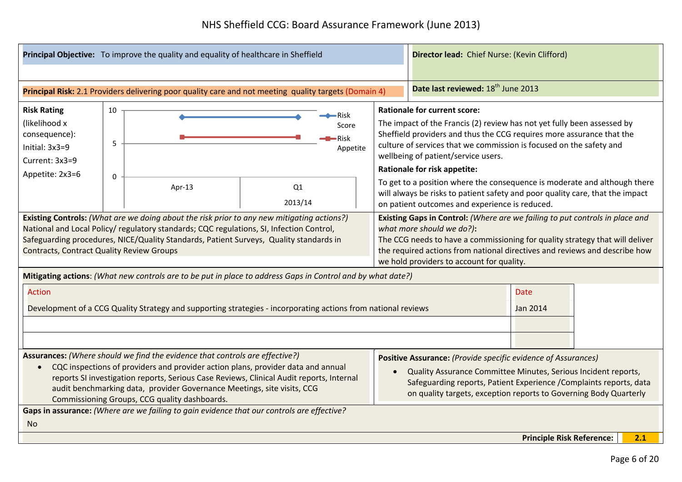|                                                                                                                                                                                                                                                                                                                                                                                                       | Principal Objective: To improve the quality and equality of healthcare in Sheffield |  |                                                                                                               |  | Director lead: Chief Nurse: (Kevin Clifford)                                                                                                                                                                                                                                                                                                                                                                                                                                                                                                                 |                                                                                                                                                                                                                                                                             |                                  |  |     |
|-------------------------------------------------------------------------------------------------------------------------------------------------------------------------------------------------------------------------------------------------------------------------------------------------------------------------------------------------------------------------------------------------------|-------------------------------------------------------------------------------------|--|---------------------------------------------------------------------------------------------------------------|--|--------------------------------------------------------------------------------------------------------------------------------------------------------------------------------------------------------------------------------------------------------------------------------------------------------------------------------------------------------------------------------------------------------------------------------------------------------------------------------------------------------------------------------------------------------------|-----------------------------------------------------------------------------------------------------------------------------------------------------------------------------------------------------------------------------------------------------------------------------|----------------------------------|--|-----|
|                                                                                                                                                                                                                                                                                                                                                                                                       |                                                                                     |  | Principal Risk: 2.1 Providers delivering poor quality care and not meeting quality targets (Domain 4)         |  |                                                                                                                                                                                                                                                                                                                                                                                                                                                                                                                                                              | Date last reviewed: 18 <sup>th</sup> June 2013                                                                                                                                                                                                                              |                                  |  |     |
| <b>Risk Rating</b><br>10<br>∙Risk<br>(likelihood x<br>Score<br>consequence):<br>•Risk<br>5<br>Initial: 3x3=9<br>Appetite<br>Current: 3x3=9<br>Appetite: 2x3=6<br>$\Omega$<br>Apr-13<br>Q1<br>2013/14                                                                                                                                                                                                  |                                                                                     |  |                                                                                                               |  | <b>Rationale for current score:</b><br>The impact of the Francis (2) review has not yet fully been assessed by<br>Sheffield providers and thus the CCG requires more assurance that the<br>culture of services that we commission is focused on the safety and<br>wellbeing of patient/service users.<br><b>Rationale for risk appetite:</b><br>To get to a position where the consequence is moderate and although there<br>will always be risks to patient safety and poor quality care, that the impact<br>on patient outcomes and experience is reduced. |                                                                                                                                                                                                                                                                             |                                  |  |     |
| Existing Controls: (What are we doing about the risk prior to any new mitigating actions?)<br>National and Local Policy/regulatory standards; CQC regulations, SI, Infection Control,<br>Safeguarding procedures, NICE/Quality Standards, Patient Surveys, Quality standards in<br><b>Contracts, Contract Quality Review Groups</b>                                                                   |                                                                                     |  |                                                                                                               |  | Existing Gaps in Control: (Where are we failing to put controls in place and<br>what more should we do?):<br>The CCG needs to have a commissioning for quality strategy that will deliver<br>the required actions from national directives and reviews and describe how<br>we hold providers to account for quality.                                                                                                                                                                                                                                         |                                                                                                                                                                                                                                                                             |                                  |  |     |
|                                                                                                                                                                                                                                                                                                                                                                                                       |                                                                                     |  | Mitigating actions: (What new controls are to be put in place to address Gaps in Control and by what date?)   |  |                                                                                                                                                                                                                                                                                                                                                                                                                                                                                                                                                              |                                                                                                                                                                                                                                                                             |                                  |  |     |
| <b>Action</b>                                                                                                                                                                                                                                                                                                                                                                                         |                                                                                     |  |                                                                                                               |  |                                                                                                                                                                                                                                                                                                                                                                                                                                                                                                                                                              |                                                                                                                                                                                                                                                                             | <b>Date</b>                      |  |     |
|                                                                                                                                                                                                                                                                                                                                                                                                       |                                                                                     |  | Development of a CCG Quality Strategy and supporting strategies - incorporating actions from national reviews |  |                                                                                                                                                                                                                                                                                                                                                                                                                                                                                                                                                              |                                                                                                                                                                                                                                                                             | <b>Jan 2014</b>                  |  |     |
| Assurances: (Where should we find the evidence that controls are effective?)<br>CQC inspections of providers and provider action plans, provider data and annual<br>$\bullet$<br>reports SI investigation reports, Serious Case Reviews, Clinical Audit reports, Internal<br>audit benchmarking data, provider Governance Meetings, site visits, CCG<br>Commissioning Groups, CCG quality dashboards. |                                                                                     |  |                                                                                                               |  |                                                                                                                                                                                                                                                                                                                                                                                                                                                                                                                                                              | Positive Assurance: (Provide specific evidence of Assurances)<br>Quality Assurance Committee Minutes, Serious Incident reports,<br>Safeguarding reports, Patient Experience / Complaints reports, data<br>on quality targets, exception reports to Governing Body Quarterly |                                  |  |     |
| Gaps in assurance: (Where are we failing to gain evidence that our controls are effective?<br>No.                                                                                                                                                                                                                                                                                                     |                                                                                     |  |                                                                                                               |  |                                                                                                                                                                                                                                                                                                                                                                                                                                                                                                                                                              |                                                                                                                                                                                                                                                                             |                                  |  |     |
|                                                                                                                                                                                                                                                                                                                                                                                                       |                                                                                     |  |                                                                                                               |  |                                                                                                                                                                                                                                                                                                                                                                                                                                                                                                                                                              |                                                                                                                                                                                                                                                                             | <b>Principle Risk Reference:</b> |  | 2.1 |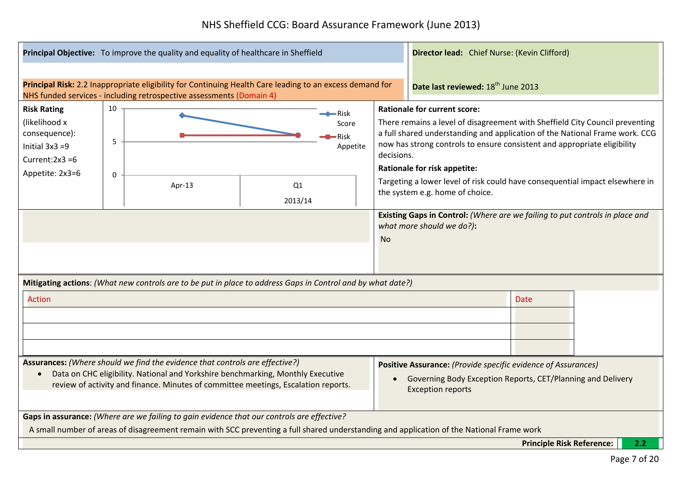|                                                                                                                                                                                                                                                       | Principal Objective: To improve the quality and equality of healthcare in Sheffield |                                                                                                                                                                                  |               | Director lead: Chief Nurse: (Kevin Clifford)     |                                                                                                                                                                                                                                                                                                                                                                                                                                                                                                                                                                           |  |                                                                                                                                                          |  |  |
|-------------------------------------------------------------------------------------------------------------------------------------------------------------------------------------------------------------------------------------------------------|-------------------------------------------------------------------------------------|----------------------------------------------------------------------------------------------------------------------------------------------------------------------------------|---------------|--------------------------------------------------|---------------------------------------------------------------------------------------------------------------------------------------------------------------------------------------------------------------------------------------------------------------------------------------------------------------------------------------------------------------------------------------------------------------------------------------------------------------------------------------------------------------------------------------------------------------------------|--|----------------------------------------------------------------------------------------------------------------------------------------------------------|--|--|
|                                                                                                                                                                                                                                                       |                                                                                     |                                                                                                                                                                                  |               |                                                  |                                                                                                                                                                                                                                                                                                                                                                                                                                                                                                                                                                           |  |                                                                                                                                                          |  |  |
|                                                                                                                                                                                                                                                       |                                                                                     | Principal Risk: 2.2 Inappropriate eligibility for Continuing Health Care leading to an excess demand for<br>NHS funded services - including retrospective assessments (Domain 4) |               |                                                  |                                                                                                                                                                                                                                                                                                                                                                                                                                                                                                                                                                           |  | Date last reviewed: 18 <sup>th</sup> June 2013                                                                                                           |  |  |
| <b>Risk Rating</b><br>(likelihood x<br>consequence):<br>Initial $3x3 = 9$<br>Current: $2x3 = 6$<br>Appetite: 2x3=6                                                                                                                                    | 10<br>5<br>$\mathbf 0$                                                              | Apr-13                                                                                                                                                                           | Q1<br>2013/14 | $\rightarrow$ Risk<br>Score<br>•Risk<br>Appetite | <b>Rationale for current score:</b><br>There remains a level of disagreement with Sheffield City Council preventing<br>a full shared understanding and application of the National Frame work. CCG<br>now has strong controls to ensure consistent and appropriate eligibility<br>decisions.<br>Rationale for risk appetite:<br>Targeting a lower level of risk could have consequential impact elsewhere in<br>the system e.g. home of choice.<br>Existing Gaps in Control: (Where are we failing to put controls in place and<br>what more should we do?):<br><b>No</b> |  |                                                                                                                                                          |  |  |
|                                                                                                                                                                                                                                                       |                                                                                     | Mitigating actions: (What new controls are to be put in place to address Gaps in Control and by what date?)                                                                      |               |                                                  |                                                                                                                                                                                                                                                                                                                                                                                                                                                                                                                                                                           |  |                                                                                                                                                          |  |  |
| <b>Action</b>                                                                                                                                                                                                                                         |                                                                                     |                                                                                                                                                                                  |               |                                                  |                                                                                                                                                                                                                                                                                                                                                                                                                                                                                                                                                                           |  | <b>Date</b>                                                                                                                                              |  |  |
|                                                                                                                                                                                                                                                       |                                                                                     |                                                                                                                                                                                  |               |                                                  |                                                                                                                                                                                                                                                                                                                                                                                                                                                                                                                                                                           |  |                                                                                                                                                          |  |  |
| Assurances: (Where should we find the evidence that controls are effective?)<br>Data on CHC eligibility. National and Yorkshire benchmarking, Monthly Executive<br>review of activity and finance. Minutes of committee meetings, Escalation reports. |                                                                                     |                                                                                                                                                                                  |               |                                                  |                                                                                                                                                                                                                                                                                                                                                                                                                                                                                                                                                                           |  | Positive Assurance: (Provide specific evidence of Assurances)<br>Governing Body Exception Reports, CET/Planning and Delivery<br><b>Exception reports</b> |  |  |
|                                                                                                                                                                                                                                                       |                                                                                     | Gaps in assurance: (Where are we failing to gain evidence that our controls are effective?                                                                                       |               |                                                  |                                                                                                                                                                                                                                                                                                                                                                                                                                                                                                                                                                           |  |                                                                                                                                                          |  |  |
|                                                                                                                                                                                                                                                       |                                                                                     |                                                                                                                                                                                  |               |                                                  |                                                                                                                                                                                                                                                                                                                                                                                                                                                                                                                                                                           |  | A small number of areas of disagreement remain with SCC preventing a full shared understanding and application of the National Frame work                |  |  |
|                                                                                                                                                                                                                                                       |                                                                                     |                                                                                                                                                                                  |               |                                                  |                                                                                                                                                                                                                                                                                                                                                                                                                                                                                                                                                                           |  | <b>Principle Risk Reference:</b><br>2.2                                                                                                                  |  |  |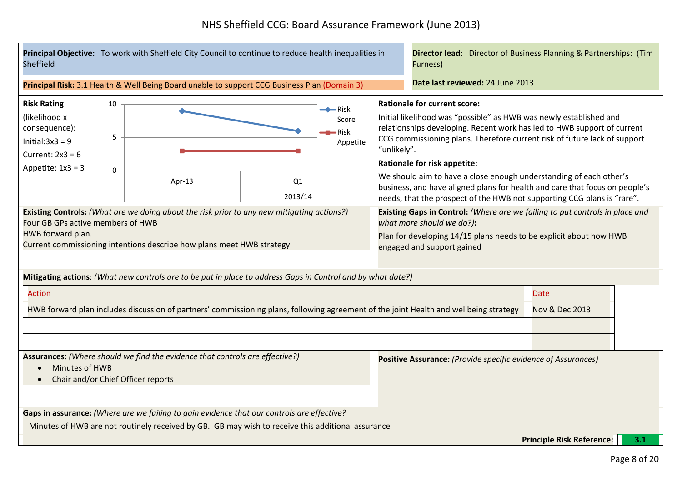| Principal Objective: To work with Sheffield City Council to continue to reduce health inequalities in<br><b>Sheffield</b>                                                                                                                                                                                                                                      |                                                                                                                                                                                                                                            |                                                                                                                                       |  |  | <b>Director lead:</b> Director of Business Planning & Partnerships: (Tim<br>Furness)                                                                                                                          |                                                                                                                                                                                                                                                                                                                                                                                                                                                                                                                                          |                                          |  |  |
|----------------------------------------------------------------------------------------------------------------------------------------------------------------------------------------------------------------------------------------------------------------------------------------------------------------------------------------------------------------|--------------------------------------------------------------------------------------------------------------------------------------------------------------------------------------------------------------------------------------------|---------------------------------------------------------------------------------------------------------------------------------------|--|--|---------------------------------------------------------------------------------------------------------------------------------------------------------------------------------------------------------------|------------------------------------------------------------------------------------------------------------------------------------------------------------------------------------------------------------------------------------------------------------------------------------------------------------------------------------------------------------------------------------------------------------------------------------------------------------------------------------------------------------------------------------------|------------------------------------------|--|--|
|                                                                                                                                                                                                                                                                                                                                                                |                                                                                                                                                                                                                                            | Principal Risk: 3.1 Health & Well Being Board unable to support CCG Business Plan (Domain 3)                                          |  |  |                                                                                                                                                                                                               | Date last reviewed: 24 June 2013                                                                                                                                                                                                                                                                                                                                                                                                                                                                                                         |                                          |  |  |
| <b>Risk Rating</b><br>(likelihood x<br>consequence):<br>Initial: $3x3 = 9$<br>Current: $2x3 = 6$<br>Appetite: $1x3 = 3$                                                                                                                                                                                                                                        | 10<br>$\rightarrow$ Risk<br>Score<br>Risk<br>5<br>Appetite<br>$\Omega$<br>Q1<br>Apr-13                                                                                                                                                     |                                                                                                                                       |  |  | "unlikely".                                                                                                                                                                                                   | <b>Rationale for current score:</b><br>Initial likelihood was "possible" as HWB was newly established and<br>relationships developing. Recent work has led to HWB support of current<br>CCG commissioning plans. Therefore current risk of future lack of support<br><b>Rationale for risk appetite:</b><br>We should aim to have a close enough understanding of each other's<br>business, and have aligned plans for health and care that focus on people's<br>needs, that the prospect of the HWB not supporting CCG plans is "rare". |                                          |  |  |
| 2013/14<br><b>Existing Controls:</b> (What are we doing about the risk prior to any new mitigating actions?)<br>Four GB GPs active members of HWB<br>HWB forward plan.<br>Current commissioning intentions describe how plans meet HWB strategy<br>Mitigating actions: (What new controls are to be put in place to address Gaps in Control and by what date?) |                                                                                                                                                                                                                                            |                                                                                                                                       |  |  | Existing Gaps in Control: (Where are we failing to put controls in place and<br>what more should we do?):<br>Plan for developing 14/15 plans needs to be explicit about how HWB<br>engaged and support gained |                                                                                                                                                                                                                                                                                                                                                                                                                                                                                                                                          |                                          |  |  |
| <b>Action</b>                                                                                                                                                                                                                                                                                                                                                  |                                                                                                                                                                                                                                            | HWB forward plan includes discussion of partners' commissioning plans, following agreement of the joint Health and wellbeing strategy |  |  |                                                                                                                                                                                                               |                                                                                                                                                                                                                                                                                                                                                                                                                                                                                                                                          | <b>Date</b><br><b>Nov &amp; Dec 2013</b> |  |  |
| Assurances: (Where should we find the evidence that controls are effective?)<br>Minutes of HWB<br>Chair and/or Chief Officer reports                                                                                                                                                                                                                           |                                                                                                                                                                                                                                            |                                                                                                                                       |  |  | Positive Assurance: (Provide specific evidence of Assurances)                                                                                                                                                 |                                                                                                                                                                                                                                                                                                                                                                                                                                                                                                                                          |                                          |  |  |
|                                                                                                                                                                                                                                                                                                                                                                | Gaps in assurance: (Where are we failing to gain evidence that our controls are effective?<br>Minutes of HWB are not routinely received by GB. GB may wish to receive this additional assurance<br><b>Principle Risk Reference:</b><br>3.1 |                                                                                                                                       |  |  |                                                                                                                                                                                                               |                                                                                                                                                                                                                                                                                                                                                                                                                                                                                                                                          |                                          |  |  |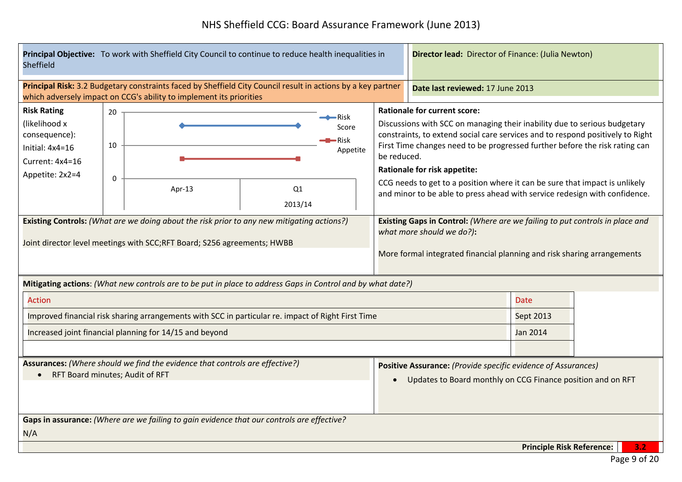| <b>Sheffield</b>                                                                                                                                                                        | Principal Objective: To work with Sheffield City Council to continue to reduce health inequalities in |                                                                     |                                                                                                              |                                                                                                                                                                                                                                                                                                                                                                                                                                                                                                      | Director lead: Director of Finance: (Julia Newton)                                                                                                                                   |                                  |  |     |  |
|-----------------------------------------------------------------------------------------------------------------------------------------------------------------------------------------|-------------------------------------------------------------------------------------------------------|---------------------------------------------------------------------|--------------------------------------------------------------------------------------------------------------|------------------------------------------------------------------------------------------------------------------------------------------------------------------------------------------------------------------------------------------------------------------------------------------------------------------------------------------------------------------------------------------------------------------------------------------------------------------------------------------------------|--------------------------------------------------------------------------------------------------------------------------------------------------------------------------------------|----------------------------------|--|-----|--|
|                                                                                                                                                                                         |                                                                                                       | which adversely impact on CCG's ability to implement its priorities | Principal Risk: 3.2 Budgetary constraints faced by Sheffield City Council result in actions by a key partner |                                                                                                                                                                                                                                                                                                                                                                                                                                                                                                      |                                                                                                                                                                                      | Date last reviewed: 17 June 2013 |  |     |  |
| <b>Risk Rating</b><br>(likelihood x<br>consequence):<br>Initial: $4x4=16$<br>Current: 4x4=16<br>Appetite: 2x2=4                                                                         | 20<br>$\leftarrow$ Risk<br>Score<br>-Risk<br>10<br>Appetite<br>$\mathbf{0}$<br>Q1<br>Apr- $13$        |                                                                     |                                                                                                              | <b>Rationale for current score:</b><br>Discussions with SCC on managing their inability due to serious budgetary<br>constraints, to extend social care services and to respond positively to Right<br>First Time changes need to be progressed further before the risk rating can<br>be reduced.<br><b>Rationale for risk appetite:</b><br>CCG needs to get to a position where it can be sure that impact is unlikely<br>and minor to be able to press ahead with service redesign with confidence. |                                                                                                                                                                                      |                                  |  |     |  |
| 2013/14<br><b>Existing Controls:</b> (What are we doing about the risk prior to any new mitigating actions?)<br>Joint director level meetings with SCC;RFT Board; S256 agreements; HWBB |                                                                                                       |                                                                     |                                                                                                              |                                                                                                                                                                                                                                                                                                                                                                                                                                                                                                      | Existing Gaps in Control: (Where are we failing to put controls in place and<br>what more should we do?):<br>More formal integrated financial planning and risk sharing arrangements |                                  |  |     |  |
| <b>Action</b>                                                                                                                                                                           |                                                                                                       |                                                                     | Mitigating actions: (What new controls are to be put in place to address Gaps in Control and by what date?)  |                                                                                                                                                                                                                                                                                                                                                                                                                                                                                                      |                                                                                                                                                                                      | <b>Date</b>                      |  |     |  |
|                                                                                                                                                                                         |                                                                                                       |                                                                     | Improved financial risk sharing arrangements with SCC in particular re. impact of Right First Time           |                                                                                                                                                                                                                                                                                                                                                                                                                                                                                                      |                                                                                                                                                                                      | Sept 2013                        |  |     |  |
|                                                                                                                                                                                         |                                                                                                       | Increased joint financial planning for 14/15 and beyond             |                                                                                                              |                                                                                                                                                                                                                                                                                                                                                                                                                                                                                                      |                                                                                                                                                                                      | Jan 2014                         |  |     |  |
| Assurances: (Where should we find the evidence that controls are effective?)<br>RFT Board minutes; Audit of RFT                                                                         |                                                                                                       |                                                                     |                                                                                                              | Positive Assurance: (Provide specific evidence of Assurances)<br>Updates to Board monthly on CCG Finance position and on RFT                                                                                                                                                                                                                                                                                                                                                                         |                                                                                                                                                                                      |                                  |  |     |  |
| Gaps in assurance: (Where are we failing to gain evidence that our controls are effective?<br>N/A                                                                                       |                                                                                                       |                                                                     |                                                                                                              |                                                                                                                                                                                                                                                                                                                                                                                                                                                                                                      |                                                                                                                                                                                      |                                  |  |     |  |
|                                                                                                                                                                                         |                                                                                                       |                                                                     |                                                                                                              |                                                                                                                                                                                                                                                                                                                                                                                                                                                                                                      |                                                                                                                                                                                      | <b>Principle Risk Reference:</b> |  | 3.2 |  |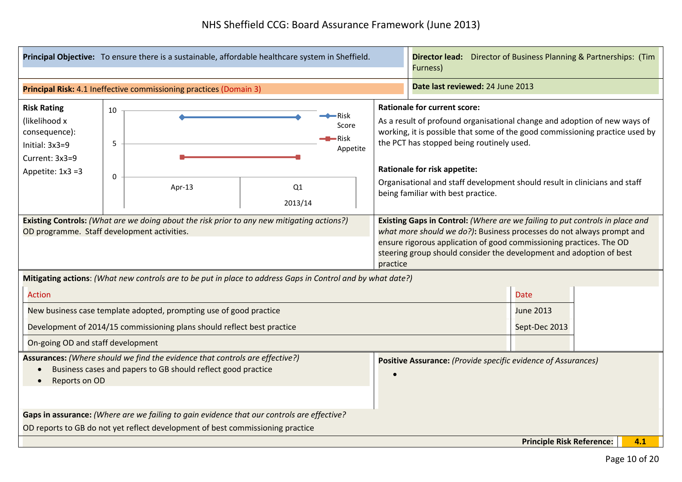|                                                                                                                                                               | Principal Objective: To ensure there is a sustainable, affordable healthcare system in Sheffield. | <b>Director lead:</b> Director of Business Planning & Partnerships: (Tim<br>Furness)                        |                                                                                                                                                                                                                                                                                                                                                                                                          |                                                                                                                                                                                                                                                                                                     |     |  |
|---------------------------------------------------------------------------------------------------------------------------------------------------------------|---------------------------------------------------------------------------------------------------|-------------------------------------------------------------------------------------------------------------|----------------------------------------------------------------------------------------------------------------------------------------------------------------------------------------------------------------------------------------------------------------------------------------------------------------------------------------------------------------------------------------------------------|-----------------------------------------------------------------------------------------------------------------------------------------------------------------------------------------------------------------------------------------------------------------------------------------------------|-----|--|
|                                                                                                                                                               | Principal Risk: 4.1 Ineffective commissioning practices (Domain 3)                                | Date last reviewed: 24 June 2013                                                                            |                                                                                                                                                                                                                                                                                                                                                                                                          |                                                                                                                                                                                                                                                                                                     |     |  |
| <b>Risk Rating</b><br>(likelihood x<br>consequence):<br>Initial: 3x3=9<br>Current: 3x3=9<br>Appetite: $1x3 = 3$                                               | 10<br>5<br>0<br>Apr-13                                                                            | •Risk<br>Score<br><del>–</del> Risk<br>Appetite<br>Q1<br>2013/14                                            | <b>Rationale for current score:</b><br>As a result of profound organisational change and adoption of new ways of<br>working, it is possible that some of the good commissioning practice used by<br>the PCT has stopped being routinely used.<br><b>Rationale for risk appetite:</b><br>Organisational and staff development should result in clinicians and staff<br>being familiar with best practice. |                                                                                                                                                                                                                                                                                                     |     |  |
| <b>Existing Controls:</b> (What are we doing about the risk prior to any new mitigating actions?)<br>OD programme. Staff development activities.              |                                                                                                   |                                                                                                             | practice                                                                                                                                                                                                                                                                                                                                                                                                 | Existing Gaps in Control: (Where are we failing to put controls in place and<br>what more should we do?): Business processes do not always prompt and<br>ensure rigorous application of good commissioning practices. The OD<br>steering group should consider the development and adoption of best |     |  |
|                                                                                                                                                               |                                                                                                   | Mitigating actions: (What new controls are to be put in place to address Gaps in Control and by what date?) |                                                                                                                                                                                                                                                                                                                                                                                                          |                                                                                                                                                                                                                                                                                                     |     |  |
| <b>Action</b>                                                                                                                                                 |                                                                                                   |                                                                                                             |                                                                                                                                                                                                                                                                                                                                                                                                          | <b>Date</b>                                                                                                                                                                                                                                                                                         |     |  |
|                                                                                                                                                               | New business case template adopted, prompting use of good practice                                |                                                                                                             |                                                                                                                                                                                                                                                                                                                                                                                                          | <b>June 2013</b>                                                                                                                                                                                                                                                                                    |     |  |
|                                                                                                                                                               | Development of 2014/15 commissioning plans should reflect best practice                           |                                                                                                             |                                                                                                                                                                                                                                                                                                                                                                                                          | Sept-Dec 2013                                                                                                                                                                                                                                                                                       |     |  |
| On-going OD and staff development                                                                                                                             |                                                                                                   |                                                                                                             |                                                                                                                                                                                                                                                                                                                                                                                                          |                                                                                                                                                                                                                                                                                                     |     |  |
| Assurances: (Where should we find the evidence that controls are effective?)<br>Business cases and papers to GB should reflect good practice<br>Reports on OD |                                                                                                   |                                                                                                             |                                                                                                                                                                                                                                                                                                                                                                                                          | Positive Assurance: (Provide specific evidence of Assurances)                                                                                                                                                                                                                                       |     |  |
|                                                                                                                                                               | Gaps in assurance: (Where are we failing to gain evidence that our controls are effective?        |                                                                                                             |                                                                                                                                                                                                                                                                                                                                                                                                          |                                                                                                                                                                                                                                                                                                     |     |  |
|                                                                                                                                                               | OD reports to GB do not yet reflect development of best commissioning practice                    |                                                                                                             |                                                                                                                                                                                                                                                                                                                                                                                                          |                                                                                                                                                                                                                                                                                                     |     |  |
|                                                                                                                                                               |                                                                                                   |                                                                                                             |                                                                                                                                                                                                                                                                                                                                                                                                          | <b>Principle Risk Reference:</b>                                                                                                                                                                                                                                                                    | 4.1 |  |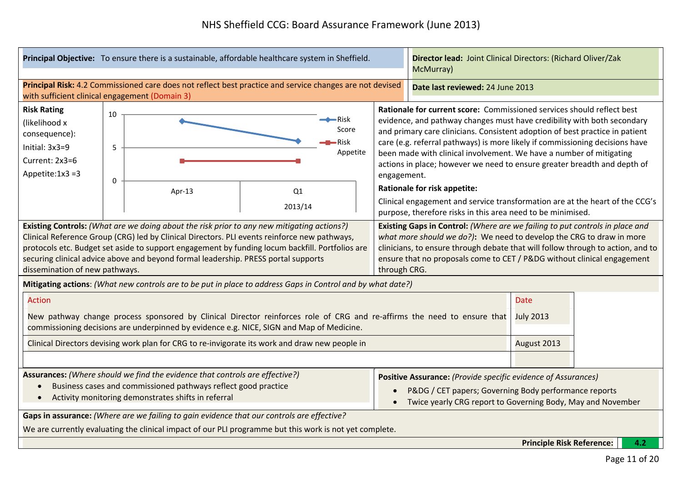|                                                                                                                                                                                                                                                                                                                                                                                                                                  | Principal Objective: To ensure there is a sustainable, affordable healthcare system in Sheffield.                                                                                                                   |                                                                                                                                                                                                                                                                                                                                                                                                                                                                                                                                                                                                                                                                           |  |                                                                                                                                                                                                                                                                                                                                    | Director lead: Joint Clinical Directors: (Richard Oliver/Zak<br>McMurray) |     |  |
|----------------------------------------------------------------------------------------------------------------------------------------------------------------------------------------------------------------------------------------------------------------------------------------------------------------------------------------------------------------------------------------------------------------------------------|---------------------------------------------------------------------------------------------------------------------------------------------------------------------------------------------------------------------|---------------------------------------------------------------------------------------------------------------------------------------------------------------------------------------------------------------------------------------------------------------------------------------------------------------------------------------------------------------------------------------------------------------------------------------------------------------------------------------------------------------------------------------------------------------------------------------------------------------------------------------------------------------------------|--|------------------------------------------------------------------------------------------------------------------------------------------------------------------------------------------------------------------------------------------------------------------------------------------------------------------------------------|---------------------------------------------------------------------------|-----|--|
|                                                                                                                                                                                                                                                                                                                                                                                                                                  | Principal Risk: 4.2 Commissioned care does not reflect best practice and service changes are not devised<br>with sufficient clinical engagement (Domain 3)                                                          |                                                                                                                                                                                                                                                                                                                                                                                                                                                                                                                                                                                                                                                                           |  | Date last reviewed: 24 June 2013                                                                                                                                                                                                                                                                                                   |                                                                           |     |  |
| <b>Risk Rating</b><br>(likelihood x<br>consequence):<br>Initial: 3x3=9<br>Current: 2x3=6<br>Appetite: $1x3 = 3$                                                                                                                                                                                                                                                                                                                  | 10<br>5<br>0<br>Apr-13                                                                                                                                                                                              | Rationale for current score: Commissioned services should reflect best<br>evidence, and pathway changes must have credibility with both secondary<br>and primary care clinicians. Consistent adoption of best practice in patient<br>care (e.g. referral pathways) is more likely if commissioning decisions have<br>been made with clinical involvement. We have a number of mitigating<br>actions in place; however we need to ensure greater breadth and depth of<br>engagement.<br><b>Rationale for risk appetite:</b><br>Clinical engagement and service transformation are at the heart of the CCG's<br>purpose, therefore risks in this area need to be minimised. |  |                                                                                                                                                                                                                                                                                                                                    |                                                                           |     |  |
| 2013/14<br>Existing Controls: (What are we doing about the risk prior to any new mitigating actions?)<br>Clinical Reference Group (CRG) led by Clinical Directors. PLI events reinforce new pathways,<br>protocols etc. Budget set aside to support engagement by funding locum backfill. Portfolios are<br>securing clinical advice above and beyond formal leadership. PRESS portal supports<br>dissemination of new pathways. |                                                                                                                                                                                                                     |                                                                                                                                                                                                                                                                                                                                                                                                                                                                                                                                                                                                                                                                           |  | Existing Gaps in Control: (Where are we failing to put controls in place and<br>what more should we do?): We need to develop the CRG to draw in more<br>clinicians, to ensure through debate that will follow through to action, and to<br>ensure that no proposals come to CET / P&DG without clinical engagement<br>through CRG. |                                                                           |     |  |
| <b>Action</b>                                                                                                                                                                                                                                                                                                                                                                                                                    | Mitigating actions: (What new controls are to be put in place to address Gaps in Control and by what date?)                                                                                                         |                                                                                                                                                                                                                                                                                                                                                                                                                                                                                                                                                                                                                                                                           |  |                                                                                                                                                                                                                                                                                                                                    | <b>Date</b>                                                               |     |  |
|                                                                                                                                                                                                                                                                                                                                                                                                                                  | New pathway change process sponsored by Clinical Director reinforces role of CRG and re-affirms the need to ensure that<br>commissioning decisions are underpinned by evidence e.g. NICE, SIGN and Map of Medicine. |                                                                                                                                                                                                                                                                                                                                                                                                                                                                                                                                                                                                                                                                           |  |                                                                                                                                                                                                                                                                                                                                    | <b>July 2013</b>                                                          |     |  |
|                                                                                                                                                                                                                                                                                                                                                                                                                                  | Clinical Directors devising work plan for CRG to re-invigorate its work and draw new people in                                                                                                                      |                                                                                                                                                                                                                                                                                                                                                                                                                                                                                                                                                                                                                                                                           |  |                                                                                                                                                                                                                                                                                                                                    | August 2013                                                               |     |  |
| Assurances: (Where should we find the evidence that controls are effective?)<br>Business cases and commissioned pathways reflect good practice<br>$\bullet$<br>Activity monitoring demonstrates shifts in referral<br>Gaps in assurance: (Where are we failing to gain evidence that our controls are effective?<br>We are currently evaluating the clinical impact of our PLI programme but this work is not yet complete.      |                                                                                                                                                                                                                     |                                                                                                                                                                                                                                                                                                                                                                                                                                                                                                                                                                                                                                                                           |  | Positive Assurance: (Provide specific evidence of Assurances)<br>P&DG / CET papers; Governing Body performance reports<br>Twice yearly CRG report to Governing Body, May and November                                                                                                                                              |                                                                           |     |  |
|                                                                                                                                                                                                                                                                                                                                                                                                                                  |                                                                                                                                                                                                                     |                                                                                                                                                                                                                                                                                                                                                                                                                                                                                                                                                                                                                                                                           |  |                                                                                                                                                                                                                                                                                                                                    | <b>Principle Risk Reference:</b>                                          | 4.2 |  |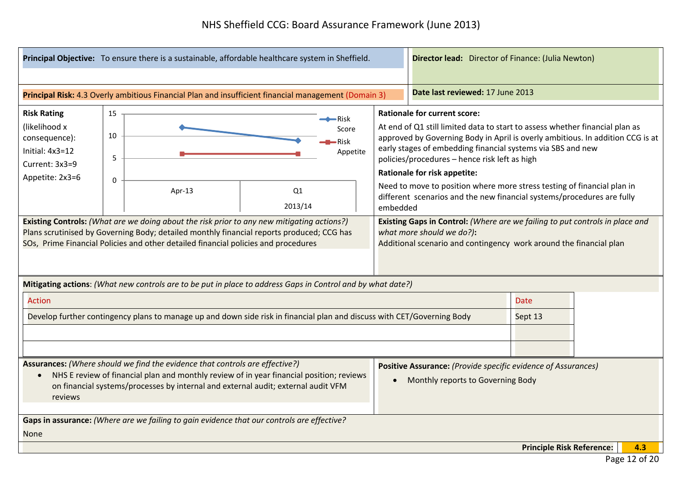|                                                                                                                                                                                                                                                                          | Principal Objective: To ensure there is a sustainable, affordable healthcare system in Sheffield.                                                                                                                                                                                                                                                                                            |                                                                                            |                                                                                                                         | Director lead: Director of Finance: (Julia Newton)                                                                                                                                                                                                                                                                                                                                                                                                                                                                                                                                                            |                                                                                                 |                                  |     |
|--------------------------------------------------------------------------------------------------------------------------------------------------------------------------------------------------------------------------------------------------------------------------|----------------------------------------------------------------------------------------------------------------------------------------------------------------------------------------------------------------------------------------------------------------------------------------------------------------------------------------------------------------------------------------------|--------------------------------------------------------------------------------------------|-------------------------------------------------------------------------------------------------------------------------|---------------------------------------------------------------------------------------------------------------------------------------------------------------------------------------------------------------------------------------------------------------------------------------------------------------------------------------------------------------------------------------------------------------------------------------------------------------------------------------------------------------------------------------------------------------------------------------------------------------|-------------------------------------------------------------------------------------------------|----------------------------------|-----|
|                                                                                                                                                                                                                                                                          |                                                                                                                                                                                                                                                                                                                                                                                              |                                                                                            |                                                                                                                         |                                                                                                                                                                                                                                                                                                                                                                                                                                                                                                                                                                                                               |                                                                                                 |                                  |     |
|                                                                                                                                                                                                                                                                          |                                                                                                                                                                                                                                                                                                                                                                                              |                                                                                            | Principal Risk: 4.3 Overly ambitious Financial Plan and insufficient financial management (Domain 3)                    |                                                                                                                                                                                                                                                                                                                                                                                                                                                                                                                                                                                                               | Date last reviewed: 17 June 2013                                                                |                                  |     |
| <b>Risk Rating</b><br>15<br>$\rightarrow$ Risk<br>(likelihood x<br>Score<br>10<br>consequence):<br>-Risk<br>Initial: $4x3=12$<br>Appetite<br>5<br>Current: 3x3=9<br>Appetite: 2x3=6<br>0<br>Q1<br>Apr-13<br>2013/14                                                      |                                                                                                                                                                                                                                                                                                                                                                                              |                                                                                            |                                                                                                                         | <b>Rationale for current score:</b><br>At end of Q1 still limited data to start to assess whether financial plan as<br>approved by Governing Body in April is overly ambitious. In addition CCG is at<br>early stages of embedding financial systems via SBS and new<br>policies/procedures - hence risk left as high<br><b>Rationale for risk appetite:</b><br>Need to move to position where more stress testing of financial plan in<br>different scenarios and the new financial systems/procedures are fully<br>embedded<br>Existing Gaps in Control: (Where are we failing to put controls in place and |                                                                                                 |                                  |     |
|                                                                                                                                                                                                                                                                          | Existing Controls: (What are we doing about the risk prior to any new mitigating actions?)<br>Plans scrutinised by Governing Body; detailed monthly financial reports produced; CCG has<br>SOs, Prime Financial Policies and other detailed financial policies and procedures<br>Mitigating actions: (What new controls are to be put in place to address Gaps in Control and by what date?) |                                                                                            |                                                                                                                         |                                                                                                                                                                                                                                                                                                                                                                                                                                                                                                                                                                                                               | what more should we do?):<br>Additional scenario and contingency work around the financial plan |                                  |     |
| <b>Action</b>                                                                                                                                                                                                                                                            |                                                                                                                                                                                                                                                                                                                                                                                              |                                                                                            |                                                                                                                         |                                                                                                                                                                                                                                                                                                                                                                                                                                                                                                                                                                                                               |                                                                                                 | <b>Date</b>                      |     |
|                                                                                                                                                                                                                                                                          |                                                                                                                                                                                                                                                                                                                                                                                              |                                                                                            | Develop further contingency plans to manage up and down side risk in financial plan and discuss with CET/Governing Body |                                                                                                                                                                                                                                                                                                                                                                                                                                                                                                                                                                                                               |                                                                                                 | Sept 13                          |     |
|                                                                                                                                                                                                                                                                          |                                                                                                                                                                                                                                                                                                                                                                                              |                                                                                            |                                                                                                                         |                                                                                                                                                                                                                                                                                                                                                                                                                                                                                                                                                                                                               |                                                                                                 |                                  |     |
| Assurances: (Where should we find the evidence that controls are effective?)<br>NHS E review of financial plan and monthly review of in year financial position; reviews<br>on financial systems/processes by internal and external audit; external audit VFM<br>reviews |                                                                                                                                                                                                                                                                                                                                                                                              |                                                                                            | $\bullet$                                                                                                               | Positive Assurance: (Provide specific evidence of Assurances)<br>Monthly reports to Governing Body                                                                                                                                                                                                                                                                                                                                                                                                                                                                                                            |                                                                                                 |                                  |     |
| <b>None</b>                                                                                                                                                                                                                                                              |                                                                                                                                                                                                                                                                                                                                                                                              | Gaps in assurance: (Where are we failing to gain evidence that our controls are effective? |                                                                                                                         |                                                                                                                                                                                                                                                                                                                                                                                                                                                                                                                                                                                                               |                                                                                                 |                                  |     |
|                                                                                                                                                                                                                                                                          |                                                                                                                                                                                                                                                                                                                                                                                              |                                                                                            |                                                                                                                         |                                                                                                                                                                                                                                                                                                                                                                                                                                                                                                                                                                                                               |                                                                                                 | <b>Principle Risk Reference:</b> | 4.3 |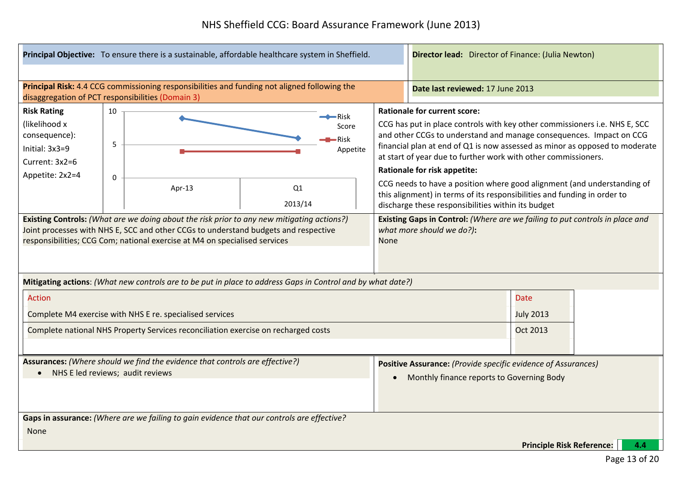|                                                                                                                                                                                                                                                                                |                        | Principal Objective: To ensure there is a sustainable, affordable healthcare system in Sheffield.           |                                                     |          |                                                                                                            | <b>Director lead:</b> Director of Finance: (Julia Newton) |                                                                                                                                                                                                                                                                                                                                                                                                                                                                                                                                                                                        |                                  |     |
|--------------------------------------------------------------------------------------------------------------------------------------------------------------------------------------------------------------------------------------------------------------------------------|------------------------|-------------------------------------------------------------------------------------------------------------|-----------------------------------------------------|----------|------------------------------------------------------------------------------------------------------------|-----------------------------------------------------------|----------------------------------------------------------------------------------------------------------------------------------------------------------------------------------------------------------------------------------------------------------------------------------------------------------------------------------------------------------------------------------------------------------------------------------------------------------------------------------------------------------------------------------------------------------------------------------------|----------------------------------|-----|
| disaggregation of PCT responsibilities (Domain 3)                                                                                                                                                                                                                              |                        | Principal Risk: 4.4 CCG commissioning responsibilities and funding not aligned following the                |                                                     |          |                                                                                                            |                                                           | Date last reviewed: 17 June 2013                                                                                                                                                                                                                                                                                                                                                                                                                                                                                                                                                       |                                  |     |
| <b>Risk Rating</b><br>(likelihood x<br>consequence):<br>Initial: 3x3=9<br>Current: 3x2=6<br>Appetite: 2x2=4                                                                                                                                                                    | 10<br>5<br>$\mathbf 0$ | Apr-13                                                                                                      | $\leftarrow$ Risk<br>Score<br>Risk<br>Q1<br>2013/14 | Appetite |                                                                                                            |                                                           | <b>Rationale for current score:</b><br>CCG has put in place controls with key other commissioners i.e. NHS E, SCC<br>and other CCGs to understand and manage consequences. Impact on CCG<br>financial plan at end of Q1 is now assessed as minor as opposed to moderate<br>at start of year due to further work with other commissioners.<br>Rationale for risk appetite:<br>CCG needs to have a position where good alignment (and understanding of<br>this alignment) in terms of its responsibilities and funding in order to<br>discharge these responsibilities within its budget |                                  |     |
| <b>Existing Controls:</b> (What are we doing about the risk prior to any new mitigating actions?)<br>Joint processes with NHS E, SCC and other CCGs to understand budgets and respective<br>responsibilities; CCG Com; national exercise at M4 on specialised services<br>None |                        |                                                                                                             |                                                     |          | Existing Gaps in Control: (Where are we failing to put controls in place and<br>what more should we do?):  |                                                           |                                                                                                                                                                                                                                                                                                                                                                                                                                                                                                                                                                                        |                                  |     |
|                                                                                                                                                                                                                                                                                |                        | Mitigating actions: (What new controls are to be put in place to address Gaps in Control and by what date?) |                                                     |          |                                                                                                            |                                                           |                                                                                                                                                                                                                                                                                                                                                                                                                                                                                                                                                                                        |                                  |     |
| <b>Action</b>                                                                                                                                                                                                                                                                  |                        |                                                                                                             |                                                     |          |                                                                                                            |                                                           |                                                                                                                                                                                                                                                                                                                                                                                                                                                                                                                                                                                        | <b>Date</b>                      |     |
|                                                                                                                                                                                                                                                                                |                        | Complete M4 exercise with NHS E re. specialised services                                                    |                                                     |          |                                                                                                            |                                                           |                                                                                                                                                                                                                                                                                                                                                                                                                                                                                                                                                                                        | <b>July 2013</b>                 |     |
|                                                                                                                                                                                                                                                                                |                        | Complete national NHS Property Services reconciliation exercise on recharged costs                          |                                                     |          |                                                                                                            |                                                           |                                                                                                                                                                                                                                                                                                                                                                                                                                                                                                                                                                                        | <b>Oct 2013</b>                  |     |
| Assurances: (Where should we find the evidence that controls are effective?)<br>NHS E led reviews; audit reviews<br>$\bullet$                                                                                                                                                  |                        |                                                                                                             |                                                     |          | Positive Assurance: (Provide specific evidence of Assurances)<br>Monthly finance reports to Governing Body |                                                           |                                                                                                                                                                                                                                                                                                                                                                                                                                                                                                                                                                                        |                                  |     |
| <b>None</b>                                                                                                                                                                                                                                                                    |                        | Gaps in assurance: (Where are we failing to gain evidence that our controls are effective?                  |                                                     |          |                                                                                                            |                                                           |                                                                                                                                                                                                                                                                                                                                                                                                                                                                                                                                                                                        |                                  |     |
|                                                                                                                                                                                                                                                                                |                        |                                                                                                             |                                                     |          |                                                                                                            |                                                           |                                                                                                                                                                                                                                                                                                                                                                                                                                                                                                                                                                                        | <b>Principle Risk Reference:</b> | 4.4 |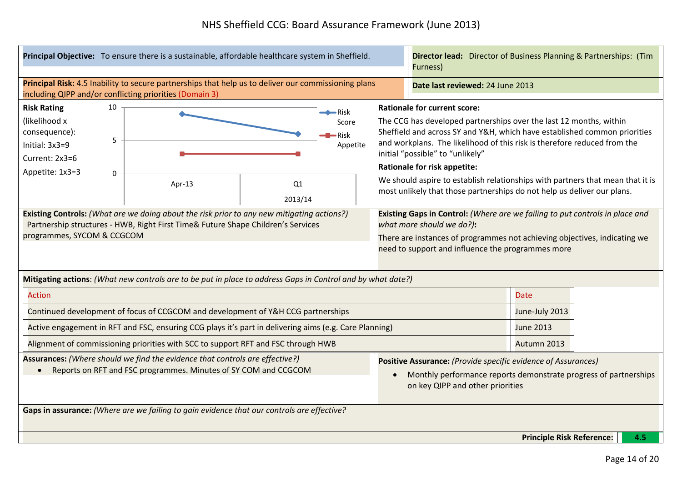|                                                                                                                                                                                                                                | Principal Objective: To ensure there is a sustainable, affordable healthcare system in Sheffield. |                                                                                                                                                                 |                                                                                                                                                                                                                                             |                                                                                                                                                                       | <b>Director lead:</b> Director of Business Planning & Partnerships: (Tim<br>Furness) |                                                                                                                                                                                                                                                                                                                                                                                                                                                                                                            |                                  |  |     |
|--------------------------------------------------------------------------------------------------------------------------------------------------------------------------------------------------------------------------------|---------------------------------------------------------------------------------------------------|-----------------------------------------------------------------------------------------------------------------------------------------------------------------|---------------------------------------------------------------------------------------------------------------------------------------------------------------------------------------------------------------------------------------------|-----------------------------------------------------------------------------------------------------------------------------------------------------------------------|--------------------------------------------------------------------------------------|------------------------------------------------------------------------------------------------------------------------------------------------------------------------------------------------------------------------------------------------------------------------------------------------------------------------------------------------------------------------------------------------------------------------------------------------------------------------------------------------------------|----------------------------------|--|-----|
|                                                                                                                                                                                                                                |                                                                                                   | Principal Risk: 4.5 Inability to secure partnerships that help us to deliver our commissioning plans<br>including QIPP and/or conflicting priorities (Domain 3) |                                                                                                                                                                                                                                             |                                                                                                                                                                       |                                                                                      | Date last reviewed: 24 June 2013                                                                                                                                                                                                                                                                                                                                                                                                                                                                           |                                  |  |     |
| <b>Risk Rating</b><br>(likelihood x<br>consequence):<br>Initial: 3x3=9<br>Current: 2x3=6<br>Appetite: 1x3=3                                                                                                                    | 10<br>⇒Risk<br>Score<br><b>Risk</b><br>5<br>Appetite<br>$\mathbf 0$<br>Apr-13<br>Q1               |                                                                                                                                                                 |                                                                                                                                                                                                                                             |                                                                                                                                                                       |                                                                                      | <b>Rationale for current score:</b><br>The CCG has developed partnerships over the last 12 months, within<br>Sheffield and across SY and Y&H, which have established common priorities<br>and workplans. The likelihood of this risk is therefore reduced from the<br>initial "possible" to "unlikely"<br><b>Rationale for risk appetite:</b><br>We should aspire to establish relationships with partners that mean that it is<br>most unlikely that those partnerships do not help us deliver our plans. |                                  |  |     |
| 2013/14<br><b>Existing Controls:</b> (What are we doing about the risk prior to any new mitigating actions?)<br>Partnership structures - HWB, Right First Time& Future Shape Children's Services<br>programmes, SYCOM & CCGCOM |                                                                                                   |                                                                                                                                                                 | Existing Gaps in Control: (Where are we failing to put controls in place and<br>what more should we do?):<br>There are instances of programmes not achieving objectives, indicating we<br>need to support and influence the programmes more |                                                                                                                                                                       |                                                                                      |                                                                                                                                                                                                                                                                                                                                                                                                                                                                                                            |                                  |  |     |
|                                                                                                                                                                                                                                |                                                                                                   | Mitigating actions: (What new controls are to be put in place to address Gaps in Control and by what date?)                                                     |                                                                                                                                                                                                                                             |                                                                                                                                                                       |                                                                                      |                                                                                                                                                                                                                                                                                                                                                                                                                                                                                                            |                                  |  |     |
| <b>Action</b>                                                                                                                                                                                                                  |                                                                                                   |                                                                                                                                                                 |                                                                                                                                                                                                                                             |                                                                                                                                                                       |                                                                                      |                                                                                                                                                                                                                                                                                                                                                                                                                                                                                                            | <b>Date</b>                      |  |     |
|                                                                                                                                                                                                                                |                                                                                                   | Continued development of focus of CCGCOM and development of Y&H CCG partnerships                                                                                |                                                                                                                                                                                                                                             |                                                                                                                                                                       |                                                                                      |                                                                                                                                                                                                                                                                                                                                                                                                                                                                                                            | June-July 2013                   |  |     |
|                                                                                                                                                                                                                                |                                                                                                   | Active engagement in RFT and FSC, ensuring CCG plays it's part in delivering aims (e.g. Care Planning)                                                          |                                                                                                                                                                                                                                             |                                                                                                                                                                       |                                                                                      |                                                                                                                                                                                                                                                                                                                                                                                                                                                                                                            | <b>June 2013</b>                 |  |     |
|                                                                                                                                                                                                                                |                                                                                                   | Alignment of commissioning priorities with SCC to support RFT and FSC through HWB                                                                               |                                                                                                                                                                                                                                             |                                                                                                                                                                       |                                                                                      |                                                                                                                                                                                                                                                                                                                                                                                                                                                                                                            | Autumn 2013                      |  |     |
| Assurances: (Where should we find the evidence that controls are effective?)<br>Reports on RFT and FSC programmes. Minutes of SY COM and CCGCOM<br>$\bullet$                                                                   |                                                                                                   |                                                                                                                                                                 | $\bullet$                                                                                                                                                                                                                                   | Positive Assurance: (Provide specific evidence of Assurances)<br>Monthly performance reports demonstrate progress of partnerships<br>on key QIPP and other priorities |                                                                                      |                                                                                                                                                                                                                                                                                                                                                                                                                                                                                                            |                                  |  |     |
| Gaps in assurance: (Where are we failing to gain evidence that our controls are effective?                                                                                                                                     |                                                                                                   |                                                                                                                                                                 |                                                                                                                                                                                                                                             |                                                                                                                                                                       |                                                                                      |                                                                                                                                                                                                                                                                                                                                                                                                                                                                                                            |                                  |  |     |
|                                                                                                                                                                                                                                |                                                                                                   |                                                                                                                                                                 |                                                                                                                                                                                                                                             |                                                                                                                                                                       |                                                                                      |                                                                                                                                                                                                                                                                                                                                                                                                                                                                                                            | <b>Principle Risk Reference:</b> |  | 4.5 |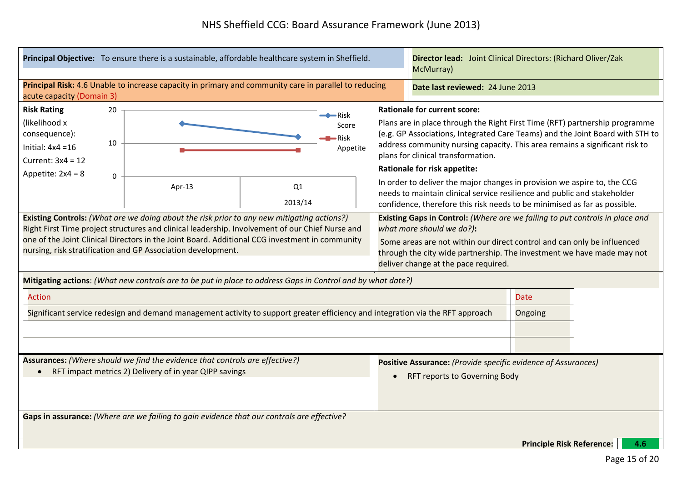| Principal Objective: To ensure there is a sustainable, affordable healthcare system in Sheffield.                                                                                                                                                                                                                                                                                                                                                                                                                                                                                           | Director lead: Joint Clinical Directors: (Richard Oliver/Zak<br>McMurray)                                                                                                                                                                                                                                                                                                                                                                                                                                                                                                                                                                                                                                                                                                                                                                                              |  |  |
|---------------------------------------------------------------------------------------------------------------------------------------------------------------------------------------------------------------------------------------------------------------------------------------------------------------------------------------------------------------------------------------------------------------------------------------------------------------------------------------------------------------------------------------------------------------------------------------------|------------------------------------------------------------------------------------------------------------------------------------------------------------------------------------------------------------------------------------------------------------------------------------------------------------------------------------------------------------------------------------------------------------------------------------------------------------------------------------------------------------------------------------------------------------------------------------------------------------------------------------------------------------------------------------------------------------------------------------------------------------------------------------------------------------------------------------------------------------------------|--|--|
| Principal Risk: 4.6 Unable to increase capacity in primary and community care in parallel to reducing<br>acute capacity (Domain 3)                                                                                                                                                                                                                                                                                                                                                                                                                                                          | Date last reviewed: 24 June 2013                                                                                                                                                                                                                                                                                                                                                                                                                                                                                                                                                                                                                                                                                                                                                                                                                                       |  |  |
| <b>Risk Rating</b><br>20<br>$\leftarrow$ Risk<br>(likelihood x<br>Score<br>consequence):<br>·Risk<br>10<br>Initial: $4x4 = 16$<br>Appetite<br>Current: $3x4 = 12$<br>Appetite: $2x4 = 8$<br>0<br>Q1<br>Apr-13<br>2013/14<br>Existing Controls: (What are we doing about the risk prior to any new mitigating actions?)<br>Right First Time project structures and clinical leadership. Involvement of our Chief Nurse and<br>one of the Joint Clinical Directors in the Joint Board. Additional CCG investment in community<br>nursing, risk stratification and GP Association development. | <b>Rationale for current score:</b><br>Plans are in place through the Right First Time (RFT) partnership programme<br>(e.g. GP Associations, Integrated Care Teams) and the Joint Board with STH to<br>address community nursing capacity. This area remains a significant risk to<br>plans for clinical transformation.<br><b>Rationale for risk appetite:</b><br>In order to deliver the major changes in provision we aspire to, the CCG<br>needs to maintain clinical service resilience and public and stakeholder<br>confidence, therefore this risk needs to be minimised as far as possible.<br>Existing Gaps in Control: (Where are we failing to put controls in place and<br>what more should we do?):<br>Some areas are not within our direct control and can only be influenced<br>through the city wide partnership. The investment we have made may not |  |  |
| Mitigating actions: (What new controls are to be put in place to address Gaps in Control and by what date?)                                                                                                                                                                                                                                                                                                                                                                                                                                                                                 | deliver change at the pace required.                                                                                                                                                                                                                                                                                                                                                                                                                                                                                                                                                                                                                                                                                                                                                                                                                                   |  |  |
| <b>Action</b><br>Significant service redesign and demand management activity to support greater efficiency and integration via the RFT approach                                                                                                                                                                                                                                                                                                                                                                                                                                             | <b>Date</b><br>Ongoing                                                                                                                                                                                                                                                                                                                                                                                                                                                                                                                                                                                                                                                                                                                                                                                                                                                 |  |  |
| Assurances: (Where should we find the evidence that controls are effective?)<br>• RFT impact metrics 2) Delivery of in year QIPP savings                                                                                                                                                                                                                                                                                                                                                                                                                                                    | Positive Assurance: (Provide specific evidence of Assurances)<br><b>RFT reports to Governing Body</b>                                                                                                                                                                                                                                                                                                                                                                                                                                                                                                                                                                                                                                                                                                                                                                  |  |  |
| Gaps in assurance: (Where are we failing to gain evidence that our controls are effective?                                                                                                                                                                                                                                                                                                                                                                                                                                                                                                  | <b>Principle Risk Reference:</b><br>4.6                                                                                                                                                                                                                                                                                                                                                                                                                                                                                                                                                                                                                                                                                                                                                                                                                                |  |  |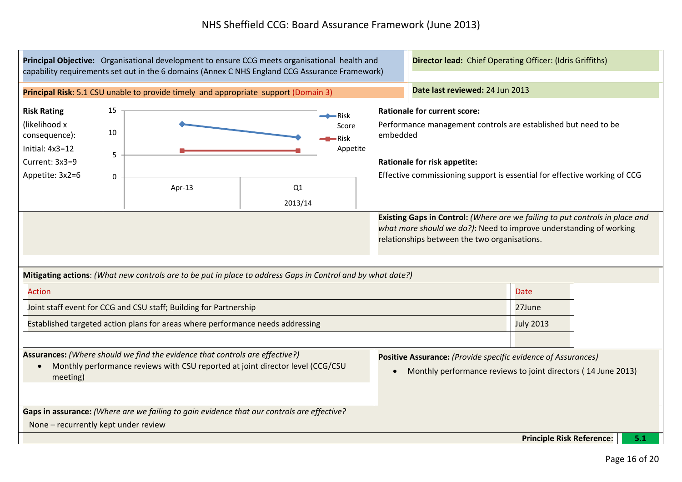|                                                                                                                                                                            | Principal Objective: Organisational development to ensure CCG meets organisational health and<br>capability requirements set out in the 6 domains (Annex C NHS England CCG Assurance Framework) |                                                                                     |               |                                                  |           |                                                                            | <b>Director lead:</b> Chief Operating Officer: (Idris Griffiths)                                                                                   |  |     |
|----------------------------------------------------------------------------------------------------------------------------------------------------------------------------|-------------------------------------------------------------------------------------------------------------------------------------------------------------------------------------------------|-------------------------------------------------------------------------------------|---------------|--------------------------------------------------|-----------|----------------------------------------------------------------------------|----------------------------------------------------------------------------------------------------------------------------------------------------|--|-----|
|                                                                                                                                                                            |                                                                                                                                                                                                 | Principal Risk: 5.1 CSU unable to provide timely and appropriate support (Domain 3) |               |                                                  |           | Date last reviewed: 24 Jun 2013                                            |                                                                                                                                                    |  |     |
| <b>Risk Rating</b><br>(likelihood x<br>consequence):<br>Initial: 4x3=12<br>Current: 3x3=9<br>Appetite: 3x2=6                                                               | 15<br>10<br>5<br>$\Omega$                                                                                                                                                                       | Apr-13                                                                              | Q1<br>2013/14 | $\rightarrow$ Risk<br>Score<br>-Risk<br>Appetite | embedded  | <b>Rationale for current score:</b><br><b>Rationale for risk appetite:</b> | Performance management controls are established but need to be<br>Effective commissioning support is essential for effective working of CCG        |  |     |
| Mitigating actions: (What new controls are to be put in place to address Gaps in Control and by what date?)                                                                |                                                                                                                                                                                                 |                                                                                     |               |                                                  |           | relationships between the two organisations.                               | Existing Gaps in Control: (Where are we failing to put controls in place and<br>what more should we do?): Need to improve understanding of working |  |     |
| <b>Action</b>                                                                                                                                                              |                                                                                                                                                                                                 |                                                                                     |               |                                                  |           |                                                                            | <b>Date</b>                                                                                                                                        |  |     |
|                                                                                                                                                                            |                                                                                                                                                                                                 | Joint staff event for CCG and CSU staff; Building for Partnership                   |               |                                                  |           |                                                                            | 27June                                                                                                                                             |  |     |
|                                                                                                                                                                            |                                                                                                                                                                                                 | Established targeted action plans for areas where performance needs addressing      |               |                                                  |           |                                                                            | <b>July 2013</b>                                                                                                                                   |  |     |
| Assurances: (Where should we find the evidence that controls are effective?)<br>Monthly performance reviews with CSU reported at joint director level (CCG/CSU<br>meeting) |                                                                                                                                                                                                 |                                                                                     |               |                                                  | $\bullet$ |                                                                            | Positive Assurance: (Provide specific evidence of Assurances)<br>Monthly performance reviews to joint directors (14 June 2013)                     |  |     |
|                                                                                                                                                                            | Gaps in assurance: (Where are we failing to gain evidence that our controls are effective?<br>None - recurrently kept under review                                                              |                                                                                     |               |                                                  |           |                                                                            |                                                                                                                                                    |  |     |
|                                                                                                                                                                            |                                                                                                                                                                                                 |                                                                                     |               |                                                  |           |                                                                            | <b>Principle Risk Reference:</b>                                                                                                                   |  | 5.1 |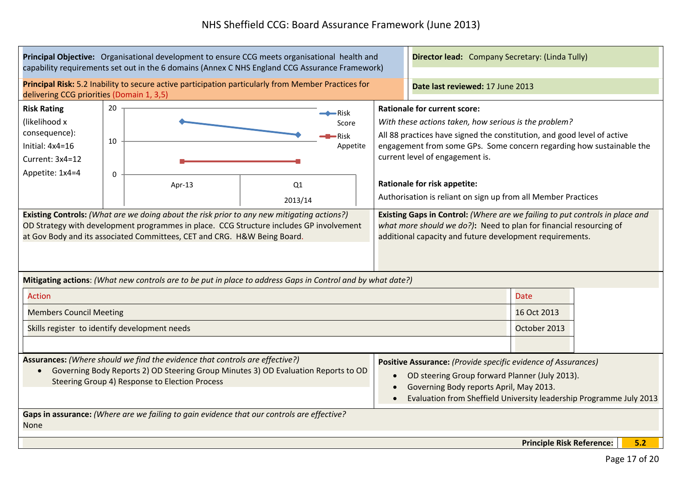| Principal Objective: Organisational development to ensure CCG meets organisational health and<br>capability requirements set out in the 6 domains (Annex C NHS England CCG Assurance Framework)                                   |                                                                                                                                                                                                                                                                                                                                                                                  |                                                                                                                                                                                                                |           | Director lead: Company Secretary: (Linda Tully)                                                                                                                                                                                                                                                                                                                                            |                            |     |  |
|-----------------------------------------------------------------------------------------------------------------------------------------------------------------------------------------------------------------------------------|----------------------------------------------------------------------------------------------------------------------------------------------------------------------------------------------------------------------------------------------------------------------------------------------------------------------------------------------------------------------------------|----------------------------------------------------------------------------------------------------------------------------------------------------------------------------------------------------------------|-----------|--------------------------------------------------------------------------------------------------------------------------------------------------------------------------------------------------------------------------------------------------------------------------------------------------------------------------------------------------------------------------------------------|----------------------------|-----|--|
| delivering CCG priorities (Domain 1, 3,5)                                                                                                                                                                                         |                                                                                                                                                                                                                                                                                                                                                                                  | Principal Risk: 5.2 Inability to secure active participation particularly from Member Practices for                                                                                                            |           | Date last reviewed: 17 June 2013                                                                                                                                                                                                                                                                                                                                                           |                            |     |  |
| 20<br><b>Risk Rating</b><br>(likelihood x<br>consequence):<br>10<br>Initial: 4x4=16<br>Current: 3x4=12<br>Appetite: 1x4=4<br>$\mathbf 0$                                                                                          | Apr-13                                                                                                                                                                                                                                                                                                                                                                           | $\bullet$ Risk<br>Score<br><b>Risk</b><br>Appetite<br>Q <sub>1</sub><br>2013/14                                                                                                                                |           | <b>Rationale for current score:</b><br>With these actions taken, how serious is the problem?<br>All 88 practices have signed the constitution, and good level of active<br>engagement from some GPs. Some concern regarding how sustainable the<br>current level of engagement is.<br><b>Rationale for risk appetite:</b><br>Authorisation is reliant on sign up from all Member Practices |                            |     |  |
|                                                                                                                                                                                                                                   | Existing Controls: (What are we doing about the risk prior to any new mitigating actions?)<br>OD Strategy with development programmes in place. CCG Structure includes GP involvement<br>at Gov Body and its associated Committees, CET and CRG. H&W Being Board.<br>Mitigating actions: (What new controls are to be put in place to address Gaps in Control and by what date?) | Existing Gaps in Control: (Where are we failing to put controls in place and<br>what more should we do?): Need to plan for financial resourcing of<br>additional capacity and future development requirements. |           |                                                                                                                                                                                                                                                                                                                                                                                            |                            |     |  |
| <b>Action</b><br><b>Members Council Meeting</b>                                                                                                                                                                                   |                                                                                                                                                                                                                                                                                                                                                                                  |                                                                                                                                                                                                                |           |                                                                                                                                                                                                                                                                                                                                                                                            | <b>Date</b><br>16 Oct 2013 |     |  |
| Skills register to identify development needs                                                                                                                                                                                     |                                                                                                                                                                                                                                                                                                                                                                                  |                                                                                                                                                                                                                |           |                                                                                                                                                                                                                                                                                                                                                                                            | October 2013               |     |  |
| Assurances: (Where should we find the evidence that controls are effective?)<br>Governing Body Reports 2) OD Steering Group Minutes 3) OD Evaluation Reports to OD<br>$\bullet$<br>Steering Group 4) Response to Election Process |                                                                                                                                                                                                                                                                                                                                                                                  |                                                                                                                                                                                                                | $\bullet$ | Positive Assurance: (Provide specific evidence of Assurances)<br>OD steering Group forward Planner (July 2013).<br>Governing Body reports April, May 2013.<br>Evaluation from Sheffield University leadership Programme July 2013                                                                                                                                                          |                            |     |  |
| <b>None</b>                                                                                                                                                                                                                       | Gaps in assurance: (Where are we failing to gain evidence that our controls are effective?                                                                                                                                                                                                                                                                                       |                                                                                                                                                                                                                |           | <b>Principle Risk Reference:</b>                                                                                                                                                                                                                                                                                                                                                           |                            | 5.2 |  |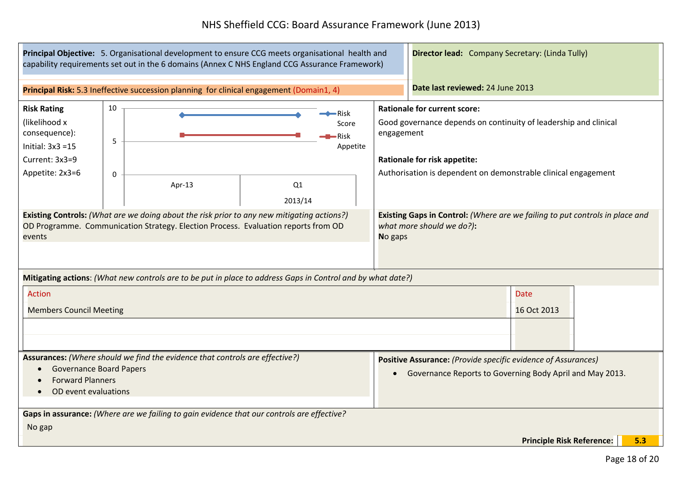| Principal Objective: 5. Organisational development to ensure CCG meets organisational health and<br>capability requirements set out in the 6 domains (Annex C NHS England CCG Assurance Framework) |              |                                                                                          |  |  | <b>Director lead:</b> Company Secretary: (Linda Tully)                                                                                                                                                                         |                            |  |
|----------------------------------------------------------------------------------------------------------------------------------------------------------------------------------------------------|--------------|------------------------------------------------------------------------------------------|--|--|--------------------------------------------------------------------------------------------------------------------------------------------------------------------------------------------------------------------------------|----------------------------|--|
|                                                                                                                                                                                                    |              | Principal Risk: 5.3 Ineffective succession planning for clinical engagement (Domain1, 4) |  |  | Date last reviewed: 24 June 2013                                                                                                                                                                                               |                            |  |
| <b>Risk Rating</b><br>(likelihood x<br>consequence):<br>Initial: $3x3 = 15$<br>Current: 3x3=9<br>Appetite: 2x3=6                                                                                   | 10<br>5<br>0 | •Risk<br>Score<br>•Risk<br>Appetite<br>Q1<br>Apr-13<br>2013/14                           |  |  | <b>Rationale for current score:</b><br>Good governance depends on continuity of leadership and clinical<br>engagement<br><b>Rationale for risk appetite:</b><br>Authorisation is dependent on demonstrable clinical engagement |                            |  |
| Existing Controls: (What are we doing about the risk prior to any new mitigating actions?)<br>OD Programme. Communication Strategy. Election Process. Evaluation reports from OD<br>events         |              |                                                                                          |  |  | Existing Gaps in Control: (Where are we failing to put controls in place and<br>what more should we do?):<br>No gaps                                                                                                           |                            |  |
| Mitigating actions: (What new controls are to be put in place to address Gaps in Control and by what date?)<br><b>Action</b><br><b>Members Council Meeting</b>                                     |              |                                                                                          |  |  |                                                                                                                                                                                                                                | <b>Date</b><br>16 Oct 2013 |  |
| Assurances: (Where should we find the evidence that controls are effective?)<br><b>Governance Board Papers</b><br>$\bullet$<br><b>Forward Planners</b><br>OD event evaluations<br>$\bullet$        |              |                                                                                          |  |  | Positive Assurance: (Provide specific evidence of Assurances)<br>Governance Reports to Governing Body April and May 2013.                                                                                                      |                            |  |
| Gaps in assurance: (Where are we failing to gain evidence that our controls are effective?<br>No gap<br><b>Principle Risk Reference:</b><br>5.3                                                    |              |                                                                                          |  |  |                                                                                                                                                                                                                                |                            |  |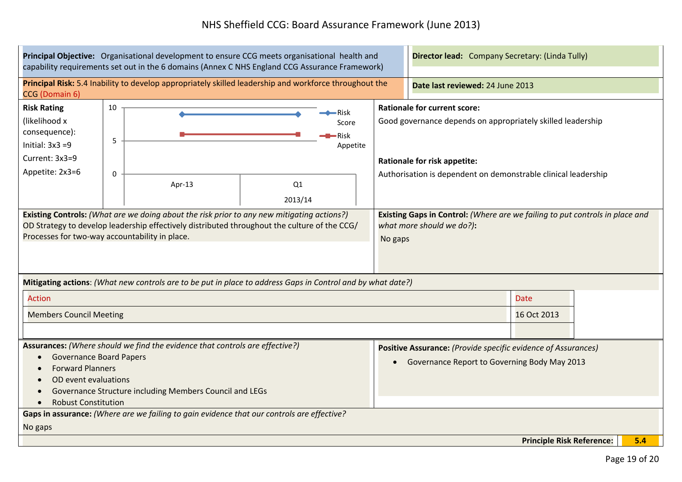| Principal Objective: Organisational development to ensure CCG meets organisational health and<br>capability requirements set out in the 6 domains (Annex C NHS England CCG Assurance Framework)                                                                                                                                                          |                         |                                                               |  |                                                                                                                      | <b>Director lead:</b> Company Secretary: (Linda Tully)                                                                                                                                                      |  |  |
|----------------------------------------------------------------------------------------------------------------------------------------------------------------------------------------------------------------------------------------------------------------------------------------------------------------------------------------------------------|-------------------------|---------------------------------------------------------------|--|----------------------------------------------------------------------------------------------------------------------|-------------------------------------------------------------------------------------------------------------------------------------------------------------------------------------------------------------|--|--|
| Principal Risk: 5.4 Inability to develop appropriately skilled leadership and workforce throughout the<br>CCG (Domain 6)                                                                                                                                                                                                                                 |                         |                                                               |  |                                                                                                                      | Date last reviewed: 24 June 2013                                                                                                                                                                            |  |  |
| <b>Risk Rating</b><br>(likelihood x<br>consequence):<br>Initial: $3x3 = 9$<br>Current: 3x3=9<br>Appetite: 2x3=6                                                                                                                                                                                                                                          | 10<br>5<br>$\mathbf{0}$ | ·Risk<br>Score<br>Risk<br>Appetite<br>Q1<br>Apr-13<br>2013/14 |  |                                                                                                                      | <b>Rationale for current score:</b><br>Good governance depends on appropriately skilled leadership<br><b>Rationale for risk appetite:</b><br>Authorisation is dependent on demonstrable clinical leadership |  |  |
| Existing Controls: (What are we doing about the risk prior to any new mitigating actions?)<br>OD Strategy to develop leadership effectively distributed throughout the culture of the CCG/<br>Processes for two-way accountability in place.                                                                                                             |                         |                                                               |  | Existing Gaps in Control: (Where are we failing to put controls in place and<br>what more should we do?):<br>No gaps |                                                                                                                                                                                                             |  |  |
| Mitigating actions: (What new controls are to be put in place to address Gaps in Control and by what date?)                                                                                                                                                                                                                                              |                         |                                                               |  |                                                                                                                      |                                                                                                                                                                                                             |  |  |
| <b>Action</b><br><b>Members Council Meeting</b>                                                                                                                                                                                                                                                                                                          |                         |                                                               |  |                                                                                                                      | <b>Date</b><br>16 Oct 2013                                                                                                                                                                                  |  |  |
| Assurances: (Where should we find the evidence that controls are effective?)<br><b>Governance Board Papers</b><br><b>Forward Planners</b><br>OD event evaluations<br>Governance Structure including Members Council and LEGs<br><b>Robust Constitution</b><br>Gaps in assurance: (Where are we failing to gain evidence that our controls are effective? |                         |                                                               |  | Positive Assurance: (Provide specific evidence of Assurances)<br>Governance Report to Governing Body May 2013        |                                                                                                                                                                                                             |  |  |
| No gaps                                                                                                                                                                                                                                                                                                                                                  |                         |                                                               |  |                                                                                                                      |                                                                                                                                                                                                             |  |  |
| <b>Principle Risk Reference:</b><br>5.4                                                                                                                                                                                                                                                                                                                  |                         |                                                               |  |                                                                                                                      |                                                                                                                                                                                                             |  |  |